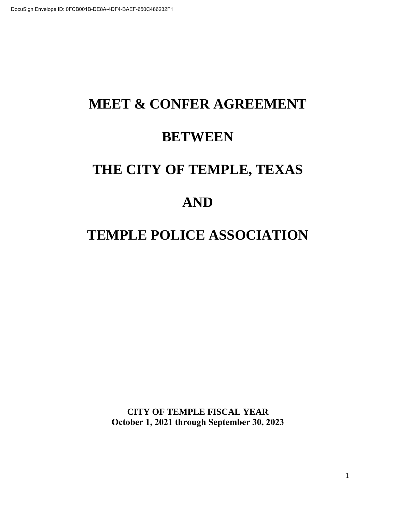# **MEET & CONFER AGREEMENT BETWEEN THE CITY OF TEMPLE, TEXAS AND TEMPLE POLICE ASSOCIATION**

**CITY OF TEMPLE FISCAL YEAR October 1, 2021 through September 30, 2023**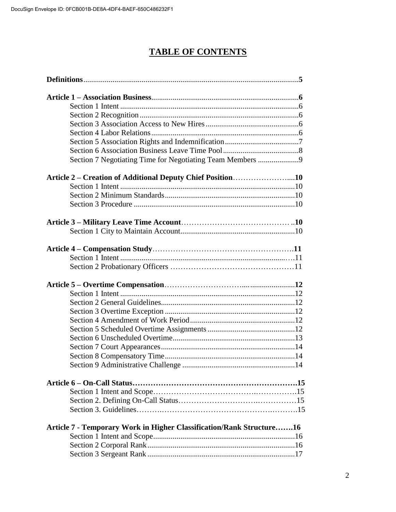# **TABLE OF CONTENTS**

|  | Article 2 – Creation of Additional Deputy Chief Position10           |  |  |  |
|--|----------------------------------------------------------------------|--|--|--|
|  |                                                                      |  |  |  |
|  |                                                                      |  |  |  |
|  |                                                                      |  |  |  |
|  |                                                                      |  |  |  |
|  |                                                                      |  |  |  |
|  |                                                                      |  |  |  |
|  |                                                                      |  |  |  |
|  |                                                                      |  |  |  |
|  |                                                                      |  |  |  |
|  |                                                                      |  |  |  |
|  |                                                                      |  |  |  |
|  |                                                                      |  |  |  |
|  |                                                                      |  |  |  |
|  |                                                                      |  |  |  |
|  |                                                                      |  |  |  |
|  |                                                                      |  |  |  |
|  |                                                                      |  |  |  |
|  |                                                                      |  |  |  |
|  |                                                                      |  |  |  |
|  |                                                                      |  |  |  |
|  |                                                                      |  |  |  |
|  |                                                                      |  |  |  |
|  |                                                                      |  |  |  |
|  |                                                                      |  |  |  |
|  |                                                                      |  |  |  |
|  | Article 7 - Temporary Work in Higher Classification/Rank Structure16 |  |  |  |
|  |                                                                      |  |  |  |
|  |                                                                      |  |  |  |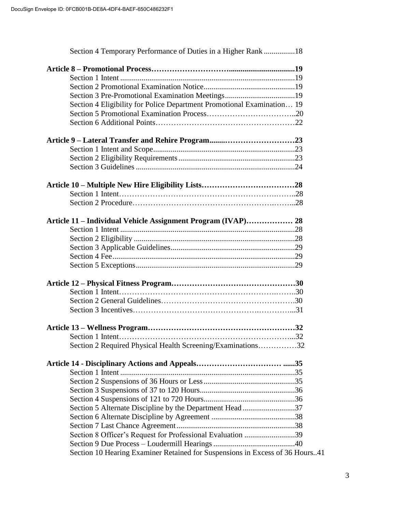| Section 4 Temporary Performance of Duties in a Higher Rank 18                |  |
|------------------------------------------------------------------------------|--|
|                                                                              |  |
|                                                                              |  |
|                                                                              |  |
|                                                                              |  |
| Section 4 Eligibility for Police Department Promotional Examination 19       |  |
|                                                                              |  |
|                                                                              |  |
|                                                                              |  |
|                                                                              |  |
|                                                                              |  |
|                                                                              |  |
|                                                                              |  |
|                                                                              |  |
|                                                                              |  |
|                                                                              |  |
|                                                                              |  |
|                                                                              |  |
|                                                                              |  |
|                                                                              |  |
|                                                                              |  |
|                                                                              |  |
|                                                                              |  |
|                                                                              |  |
|                                                                              |  |
|                                                                              |  |
|                                                                              |  |
|                                                                              |  |
|                                                                              |  |
|                                                                              |  |
|                                                                              |  |
| Section 2 Required Physical Health Screening/Examinations32                  |  |
|                                                                              |  |
|                                                                              |  |
|                                                                              |  |
|                                                                              |  |
|                                                                              |  |
| Section 5 Alternate Discipline by the Department Head37                      |  |
|                                                                              |  |
|                                                                              |  |
| Section 8 Officer's Request for Professional Evaluation 39                   |  |
|                                                                              |  |
| Section 10 Hearing Examiner Retained for Suspensions in Excess of 36 Hours41 |  |
|                                                                              |  |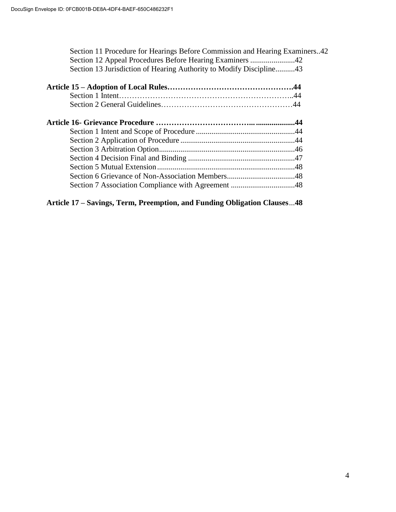| Section 11 Procedure for Hearings Before Commission and Hearing Examiners42<br>Section 13 Jurisdiction of Hearing Authority to Modify Discipline43 |  |
|----------------------------------------------------------------------------------------------------------------------------------------------------|--|
|                                                                                                                                                    |  |
|                                                                                                                                                    |  |
|                                                                                                                                                    |  |
|                                                                                                                                                    |  |
|                                                                                                                                                    |  |
|                                                                                                                                                    |  |
|                                                                                                                                                    |  |
|                                                                                                                                                    |  |
|                                                                                                                                                    |  |
|                                                                                                                                                    |  |
|                                                                                                                                                    |  |
|                                                                                                                                                    |  |

**Article 17 – Savings, Term, Preemption, and Funding Obligation Clauses**...**48**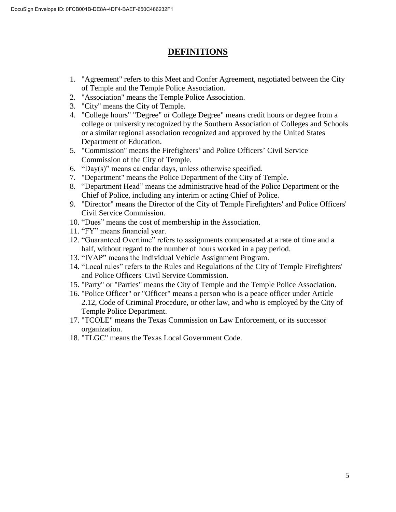# **DEFINITIONS**

- 1. "Agreement" refers to this Meet and Confer Agreement, negotiated between the City of Temple and the Temple Police Association.
- 2. "Association" means the Temple Police Association.
- 3. "City" means the City of Temple.
- 4. "College hours" "Degree" or College Degree" means credit hours or degree from a college or university recognized by the Southern Association of Colleges and Schools or a similar regional association recognized and approved by the United States Department of Education.
- 5. "Commission" means the Firefighters' and Police Officers' Civil Service Commission of the City of Temple.
- 6. "Day(s)" means calendar days, unless otherwise specified.
- 7. "Department" means the Police Department of the City of Temple.
- 8. "Department Head" means the administrative head of the Police Department or the Chief of Police, including any interim or acting Chief of Police.
- 9. "Director" means the Director of the City of Temple Firefighters' and Police Officers' Civil Service Commission.
- 10. "Dues" means the cost of membership in the Association.
- 11. "FY" means financial year.
- 12. "Guaranteed Overtime" refers to assignments compensated at a rate of time and a half, without regard to the number of hours worked in a pay period.
- 13. "IVAP" means the Individual Vehicle Assignment Program.
- 14. "Local rules" refers to the Rules and Regulations of the City of Temple Firefighters' and Police Officers' Civil Service Commission.
- 15. "Party" or "Parties" means the City of Temple and the Temple Police Association.
- 16. "Police Officer" or "Officer" means a person who is a peace officer under Article 2.12, Code of Criminal Procedure, or other law, and who is employed by the City of Temple Police Department.
- 17. "TCOLE" means the Texas Commission on Law Enforcement, or its successor organization.
- 18. "TLGC" means the Texas Local Government Code.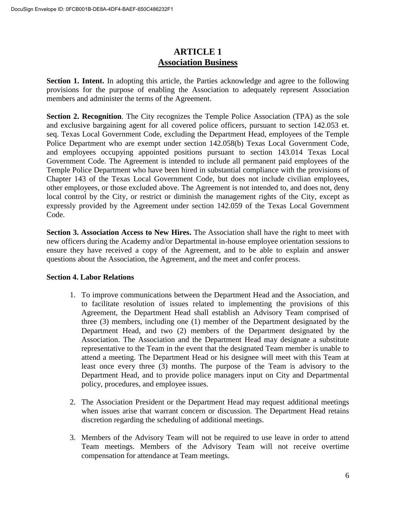# **ARTICLE 1 Association Business**

**Section 1. Intent.** In adopting this article, the Parties acknowledge and agree to the following provisions for the purpose of enabling the Association to adequately represent Association members and administer the terms of the Agreement.

**Section 2. Recognition**. The City recognizes the Temple Police Association (TPA) as the sole and exclusive bargaining agent for all covered police officers, pursuant to section 142.053 et. seq. Texas Local Government Code, excluding the Department Head, employees of the Temple Police Department who are exempt under section 142.058(b) Texas Local Government Code, and employees occupying appointed positions pursuant to section 143.014 Texas Local Government Code. The Agreement is intended to include all permanent paid employees of the Temple Police Department who have been hired in substantial compliance with the provisions of Chapter 143 of the Texas Local Government Code, but does not include civilian employees, other employees, or those excluded above. The Agreement is not intended to, and does not, deny local control by the City, or restrict or diminish the management rights of the City, except as expressly provided by the Agreement under section 142.059 of the Texas Local Government Code.

**Section 3. Association Access to New Hires.** The Association shall have the right to meet with new officers during the Academy and/or Departmental in-house employee orientation sessions to ensure they have received a copy of the Agreement, and to be able to explain and answer questions about the Association, the Agreement, and the meet and confer process.

# **Section 4. Labor Relations**

- 1. To improve communications between the Department Head and the Association, and to facilitate resolution of issues related to implementing the provisions of this Agreement, the Department Head shall establish an Advisory Team comprised of three (3) members, including one (1) member of the Department designated by the Department Head, and two (2) members of the Department designated by the Association. The Association and the Department Head may designate a substitute representative to the Team in the event that the designated Team member is unable to attend a meeting. The Department Head or his designee will meet with this Team at least once every three (3) months. The purpose of the Team is advisory to the Department Head, and to provide police managers input on City and Departmental policy, procedures, and employee issues.
- 2. The Association President or the Department Head may request additional meetings when issues arise that warrant concern or discussion. The Department Head retains discretion regarding the scheduling of additional meetings.
- 3. Members of the Advisory Team will not be required to use leave in order to attend Team meetings. Members of the Advisory Team will not receive overtime compensation for attendance at Team meetings.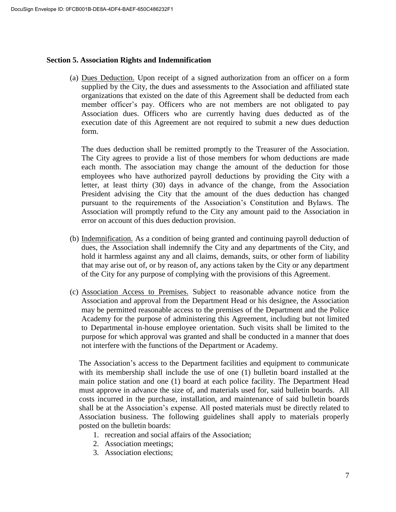#### **Section 5. Association Rights and Indemnification**

(a) Dues Deduction. Upon receipt of a signed authorization from an officer on a form supplied by the City, the dues and assessments to the Association and affiliated state organizations that existed on the date of this Agreement shall be deducted from each member officer's pay. Officers who are not members are not obligated to pay Association dues. Officers who are currently having dues deducted as of the execution date of this Agreement are not required to submit a new dues deduction form.

The dues deduction shall be remitted promptly to the Treasurer of the Association. The City agrees to provide a list of those members for whom deductions are made each month. The association may change the amount of the deduction for those employees who have authorized payroll deductions by providing the City with a letter, at least thirty (30) days in advance of the change, from the Association President advising the City that the amount of the dues deduction has changed pursuant to the requirements of the Association's Constitution and Bylaws. The Association will promptly refund to the City any amount paid to the Association in error on account of this dues deduction provision.

- (b) Indemnification. As a condition of being granted and continuing payroll deduction of dues, the Association shall indemnify the City and any departments of the City, and hold it harmless against any and all claims, demands, suits, or other form of liability that may arise out of, or by reason of, any actions taken by the City or any department of the City for any purpose of complying with the provisions of this Agreement.
- (c) Association Access to Premises. Subject to reasonable advance notice from the Association and approval from the Department Head or his designee, the Association may be permitted reasonable access to the premises of the Department and the Police Academy for the purpose of administering this Agreement, including but not limited to Departmental in-house employee orientation. Such visits shall be limited to the purpose for which approval was granted and shall be conducted in a manner that does not interfere with the functions of the Department or Academy.

The Association's access to the Department facilities and equipment to communicate with its membership shall include the use of one (1) bulletin board installed at the main police station and one (1) board at each police facility. The Department Head must approve in advance the size of, and materials used for, said bulletin boards. All costs incurred in the purchase, installation, and maintenance of said bulletin boards shall be at the Association's expense. All posted materials must be directly related to Association business. The following guidelines shall apply to materials properly posted on the bulletin boards:

- 1. recreation and social affairs of the Association;
- 2. Association meetings;
- 3. Association elections;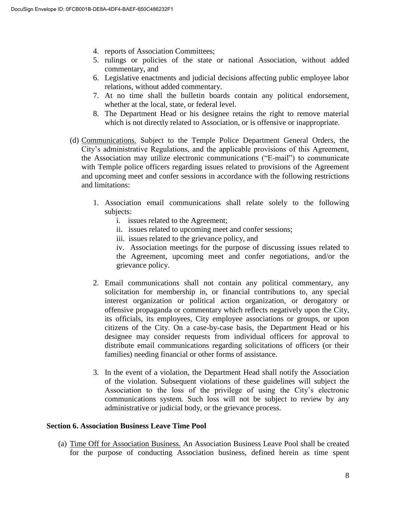- 4. reports of Association Committees;
- 5. rulings or policies of the state or national Association, without added commentary, and
- 6. Legislative enactments and judicial decisions affecting public employee labor relations, without added commentary.
- 7. At no time shall the bulletin boards contain any political endorsement, whether at the local, state, or federal level.
- 8. The Department Head or his designee retains the right to remove material which is not directly related to Association, or is offensive or inappropriate.
- (d) Communications. Subject to the Temple Police Department General Orders, the City's administrative Regulations, and the applicable provisions of this Agreement, the Association may utilize electronic communications ("E-mail") to communicate with Temple police officers regarding issues related to provisions of the Agreement and upcoming meet and confer sessions in accordance with the following restrictions and limitations:
	- 1. Association email communications shall relate solely to the following subjects:
		- i. issues related to the Agreement;
		- ii. issues related to upcoming meet and confer sessions;
		- iii. issues related to the grievance policy, and

iv. Association meetings for the purpose of discussing issues related to the Agreement, upcoming meet and confer negotiations, and/or the grievance policy.

- 2. Email communications shall not contain any political commentary, any solicitation for membership in, or financial contributions to, any special interest organization or political action organization, or derogatory or offensive propaganda or commentary which reflects negatively upon the City, its officials, its employees, City employee associations or groups, or upon citizens of the City. On a case-by-case basis, the Department Head or his designee may consider requests from individual officers for approval to distribute email communications regarding solicitations of officers (or their families) needing financial or other forms of assistance.
- 3. In the event of a violation, the Department Head shall notify the Association of the violation. Subsequent violations of these guidelines will subject the Association to the loss of the privilege of using the City's electronic communications system. Such loss will not be subject to review by any administrative or judicial body, or the grievance process.

#### **Section 6. Association Business Leave Time Pool**

(a) Time Off for Association Business. An Association Business Leave Pool shall be created for the purpose of conducting Association business, defined herein as time spent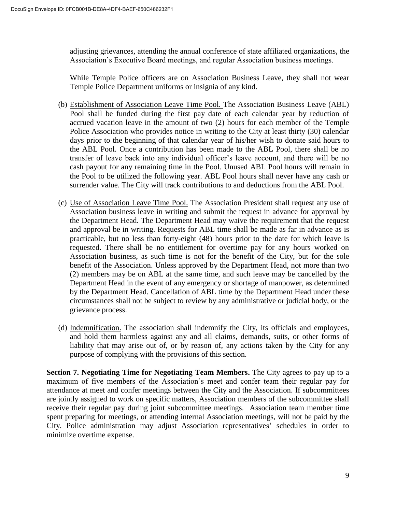adjusting grievances, attending the annual conference of state affiliated organizations, the Association's Executive Board meetings, and regular Association business meetings.

While Temple Police officers are on Association Business Leave, they shall not wear Temple Police Department uniforms or insignia of any kind.

- (b) Establishment of Association Leave Time Pool. The Association Business Leave (ABL) Pool shall be funded during the first pay date of each calendar year by reduction of accrued vacation leave in the amount of two (2) hours for each member of the Temple Police Association who provides notice in writing to the City at least thirty (30) calendar days prior to the beginning of that calendar year of his/her wish to donate said hours to the ABL Pool. Once a contribution has been made to the ABL Pool, there shall be no transfer of leave back into any individual officer's leave account, and there will be no cash payout for any remaining time in the Pool. Unused ABL Pool hours will remain in the Pool to be utilized the following year. ABL Pool hours shall never have any cash or surrender value. The City will track contributions to and deductions from the ABL Pool.
- (c) Use of Association Leave Time Pool. The Association President shall request any use of Association business leave in writing and submit the request in advance for approval by the Department Head. The Department Head may waive the requirement that the request and approval be in writing. Requests for ABL time shall be made as far in advance as is practicable, but no less than forty-eight (48) hours prior to the date for which leave is requested. There shall be no entitlement for overtime pay for any hours worked on Association business, as such time is not for the benefit of the City, but for the sole benefit of the Association. Unless approved by the Department Head, not more than two (2) members may be on ABL at the same time, and such leave may be cancelled by the Department Head in the event of any emergency or shortage of manpower, as determined by the Department Head. Cancellation of ABL time by the Department Head under these circumstances shall not be subject to review by any administrative or judicial body, or the grievance process.
- (d) Indemnification. The association shall indemnify the City, its officials and employees, and hold them harmless against any and all claims, demands, suits, or other forms of liability that may arise out of, or by reason of, any actions taken by the City for any purpose of complying with the provisions of this section.

**Section 7. Negotiating Time for Negotiating Team Members.** The City agrees to pay up to a maximum of five members of the Association's meet and confer team their regular pay for attendance at meet and confer meetings between the City and the Association. If subcommittees are jointly assigned to work on specific matters, Association members of the subcommittee shall receive their regular pay during joint subcommittee meetings. Association team member time spent preparing for meetings, or attending internal Association meetings, will not be paid by the City. Police administration may adjust Association representatives' schedules in order to minimize overtime expense.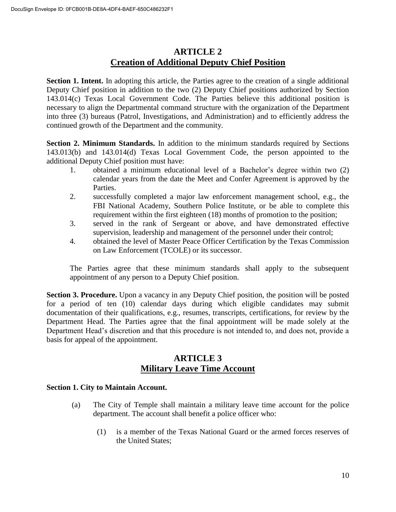# **ARTICLE 2 Creation of Additional Deputy Chief Position**

**Section 1. Intent.** In adopting this article, the Parties agree to the creation of a single additional Deputy Chief position in addition to the two (2) Deputy Chief positions authorized by Section 143.014(c) Texas Local Government Code. The Parties believe this additional position is necessary to align the Departmental command structure with the organization of the Department into three (3) bureaus (Patrol, Investigations, and Administration) and to efficiently address the continued growth of the Department and the community.

**Section 2. Minimum Standards.** In addition to the minimum standards required by Sections 143.013(b) and 143.014(d) Texas Local Government Code, the person appointed to the additional Deputy Chief position must have:

- 1. obtained a minimum educational level of a Bachelor's degree within two (2) calendar years from the date the Meet and Confer Agreement is approved by the Parties.
- 2. successfully completed a major law enforcement management school, e.g., the FBI National Academy, Southern Police Institute, or be able to complete this requirement within the first eighteen (18) months of promotion to the position;
- 3. served in the rank of Sergeant or above, and have demonstrated effective supervision, leadership and management of the personnel under their control;
- 4. obtained the level of Master Peace Officer Certification by the Texas Commission on Law Enforcement (TCOLE) or its successor.

The Parties agree that these minimum standards shall apply to the subsequent appointment of any person to a Deputy Chief position.

**Section 3. Procedure.** Upon a vacancy in any Deputy Chief position, the position will be posted for a period of ten (10) calendar days during which eligible candidates may submit documentation of their qualifications, e.g., resumes, transcripts, certifications, for review by the Department Head. The Parties agree that the final appointment will be made solely at the Department Head's discretion and that this procedure is not intended to, and does not, provide a basis for appeal of the appointment.

# **ARTICLE 3 Military Leave Time Account**

# **Section 1. City to Maintain Account.**

- (a) The City of Temple shall maintain a military leave time account for the police department. The account shall benefit a police officer who:
	- (1) is a member of the Texas National Guard or the armed forces reserves of the United States;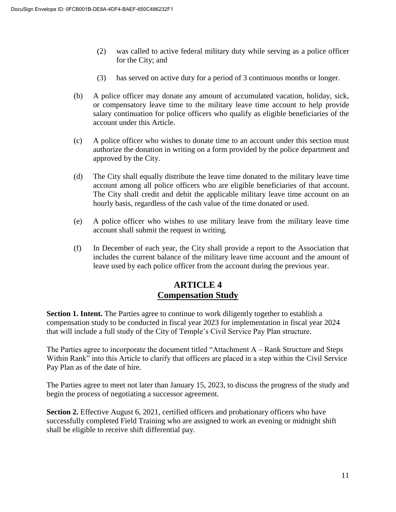- (2) was called to active federal military duty while serving as a police officer for the City; and
- (3) has served on active duty for a period of 3 continuous months or longer.
- (b) A police officer may donate any amount of accumulated vacation, holiday, sick, or compensatory leave time to the military leave time account to help provide salary continuation for police officers who qualify as eligible beneficiaries of the account under this Article.
- (c) A police officer who wishes to donate time to an account under this section must authorize the donation in writing on a form provided by the police department and approved by the City.
- (d) The City shall equally distribute the leave time donated to the military leave time account among all police officers who are eligible beneficiaries of that account. The City shall credit and debit the applicable military leave time account on an hourly basis, regardless of the cash value of the time donated or used.
- (e) A police officer who wishes to use military leave from the military leave time account shall submit the request in writing.
- (f) In December of each year, the City shall provide a report to the Association that includes the current balance of the military leave time account and the amount of leave used by each police officer from the account during the previous year.

# **ARTICLE 4 Compensation Study**

**Section 1. Intent.** The Parties agree to continue to work diligently together to establish a compensation study to be conducted in fiscal year 2023 for implementation in fiscal year 2024 that will include a full study of the City of Temple's Civil Service Pay Plan structure.

The Parties agree to incorporate the document titled "Attachment A – Rank Structure and Steps Within Rank" into this Article to clarify that officers are placed in a step within the Civil Service Pay Plan as of the date of hire.

The Parties agree to meet not later than January 15, 2023, to discuss the progress of the study and begin the process of negotiating a successor agreement.

**Section 2.** Effective August 6, 2021, certified officers and probationary officers who have successfully completed Field Training who are assigned to work an evening or midnight shift shall be eligible to receive shift differential pay.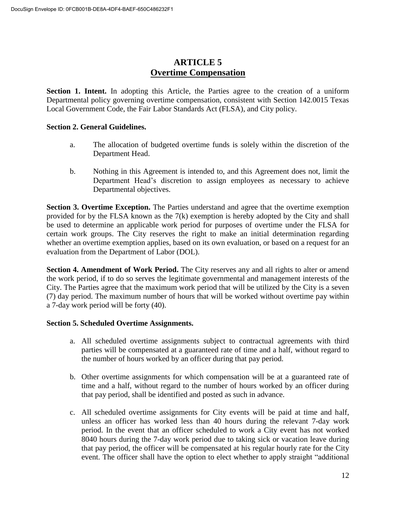# **ARTICLE 5 Overtime Compensation**

Section 1. Intent. In adopting this Article, the Parties agree to the creation of a uniform Departmental policy governing overtime compensation, consistent with Section 142.0015 Texas Local Government Code, the Fair Labor Standards Act (FLSA), and City policy.

## **Section 2. General Guidelines.**

- a. The allocation of budgeted overtime funds is solely within the discretion of the Department Head.
- b. Nothing in this Agreement is intended to, and this Agreement does not, limit the Department Head's discretion to assign employees as necessary to achieve Departmental objectives.

**Section 3. Overtime Exception.** The Parties understand and agree that the overtime exemption provided for by the FLSA known as the 7(k) exemption is hereby adopted by the City and shall be used to determine an applicable work period for purposes of overtime under the FLSA for certain work groups. The City reserves the right to make an initial determination regarding whether an overtime exemption applies, based on its own evaluation, or based on a request for an evaluation from the Department of Labor (DOL).

**Section 4. Amendment of Work Period.** The City reserves any and all rights to alter or amend the work period, if to do so serves the legitimate governmental and management interests of the City. The Parties agree that the maximum work period that will be utilized by the City is a seven (7) day period. The maximum number of hours that will be worked without overtime pay within a 7-day work period will be forty (40).

#### **Section 5. Scheduled Overtime Assignments.**

- a. All scheduled overtime assignments subject to contractual agreements with third parties will be compensated at a guaranteed rate of time and a half, without regard to the number of hours worked by an officer during that pay period.
- b. Other overtime assignments for which compensation will be at a guaranteed rate of time and a half, without regard to the number of hours worked by an officer during that pay period, shall be identified and posted as such in advance.
- c. All scheduled overtime assignments for City events will be paid at time and half, unless an officer has worked less than 40 hours during the relevant 7-day work period. In the event that an officer scheduled to work a City event has not worked 8040 hours during the 7-day work period due to taking sick or vacation leave during that pay period, the officer will be compensated at his regular hourly rate for the City event. The officer shall have the option to elect whether to apply straight "additional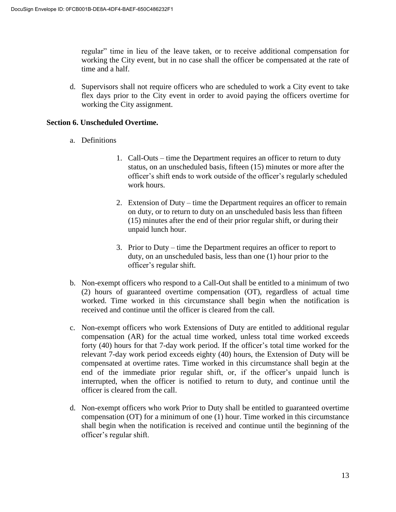regular" time in lieu of the leave taken, or to receive additional compensation for working the City event, but in no case shall the officer be compensated at the rate of time and a half.

d. Supervisors shall not require officers who are scheduled to work a City event to take flex days prior to the City event in order to avoid paying the officers overtime for working the City assignment.

#### **Section 6. Unscheduled Overtime.**

- a. Definitions
	- 1. Call-Outs time the Department requires an officer to return to duty status, on an unscheduled basis, fifteen (15) minutes or more after the officer's shift ends to work outside of the officer's regularly scheduled work hours.
	- 2. Extension of Duty time the Department requires an officer to remain on duty, or to return to duty on an unscheduled basis less than fifteen (15) minutes after the end of their prior regular shift, or during their unpaid lunch hour.
	- 3. Prior to Duty time the Department requires an officer to report to duty, on an unscheduled basis, less than one (1) hour prior to the officer's regular shift.
- b. Non-exempt officers who respond to a Call-Out shall be entitled to a minimum of two (2) hours of guaranteed overtime compensation (OT), regardless of actual time worked. Time worked in this circumstance shall begin when the notification is received and continue until the officer is cleared from the call.
- c. Non-exempt officers who work Extensions of Duty are entitled to additional regular compensation (AR) for the actual time worked, unless total time worked exceeds forty (40) hours for that 7-day work period. If the officer's total time worked for the relevant 7-day work period exceeds eighty (40) hours, the Extension of Duty will be compensated at overtime rates. Time worked in this circumstance shall begin at the end of the immediate prior regular shift, or, if the officer's unpaid lunch is interrupted, when the officer is notified to return to duty, and continue until the officer is cleared from the call.
- d. Non-exempt officers who work Prior to Duty shall be entitled to guaranteed overtime compensation (OT) for a minimum of one (1) hour. Time worked in this circumstance shall begin when the notification is received and continue until the beginning of the officer's regular shift.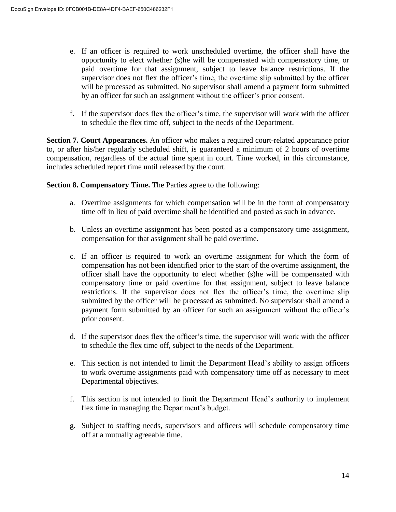- e. If an officer is required to work unscheduled overtime, the officer shall have the opportunity to elect whether (s)he will be compensated with compensatory time, or paid overtime for that assignment, subject to leave balance restrictions. If the supervisor does not flex the officer's time, the overtime slip submitted by the officer will be processed as submitted. No supervisor shall amend a payment form submitted by an officer for such an assignment without the officer's prior consent.
- f. If the supervisor does flex the officer's time, the supervisor will work with the officer to schedule the flex time off, subject to the needs of the Department.

**Section 7. Court Appearances.** An officer who makes a required court-related appearance prior to, or after his/her regularly scheduled shift, is guaranteed a minimum of 2 hours of overtime compensation, regardless of the actual time spent in court. Time worked, in this circumstance, includes scheduled report time until released by the court.

**Section 8. Compensatory Time.** The Parties agree to the following:

- a. Overtime assignments for which compensation will be in the form of compensatory time off in lieu of paid overtime shall be identified and posted as such in advance.
- b. Unless an overtime assignment has been posted as a compensatory time assignment, compensation for that assignment shall be paid overtime.
- c. If an officer is required to work an overtime assignment for which the form of compensation has not been identified prior to the start of the overtime assignment, the officer shall have the opportunity to elect whether (s)he will be compensated with compensatory time or paid overtime for that assignment, subject to leave balance restrictions. If the supervisor does not flex the officer's time, the overtime slip submitted by the officer will be processed as submitted. No supervisor shall amend a payment form submitted by an officer for such an assignment without the officer's prior consent.
- d. If the supervisor does flex the officer's time, the supervisor will work with the officer to schedule the flex time off, subject to the needs of the Department.
- e. This section is not intended to limit the Department Head's ability to assign officers to work overtime assignments paid with compensatory time off as necessary to meet Departmental objectives.
- f. This section is not intended to limit the Department Head's authority to implement flex time in managing the Department's budget.
- g. Subject to staffing needs, supervisors and officers will schedule compensatory time off at a mutually agreeable time.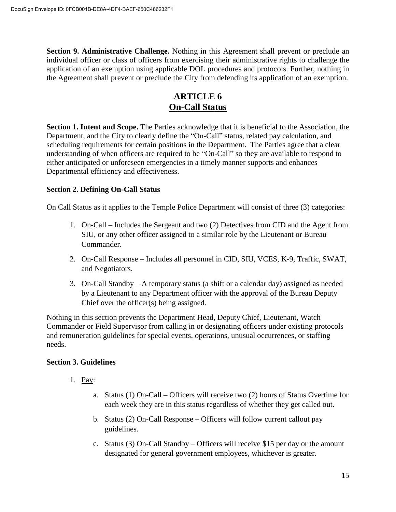**Section 9. Administrative Challenge.** Nothing in this Agreement shall prevent or preclude an individual officer or class of officers from exercising their administrative rights to challenge the application of an exemption using applicable DOL procedures and protocols. Further, nothing in the Agreement shall prevent or preclude the City from defending its application of an exemption.

# **ARTICLE 6 On-Call Status**

**Section 1. Intent and Scope.** The Parties acknowledge that it is beneficial to the Association, the Department, and the City to clearly define the "On-Call" status, related pay calculation, and scheduling requirements for certain positions in the Department. The Parties agree that a clear understanding of when officers are required to be "On-Call" so they are available to respond to either anticipated or unforeseen emergencies in a timely manner supports and enhances Departmental efficiency and effectiveness.

## **Section 2. Defining On-Call Status**

On Call Status as it applies to the Temple Police Department will consist of three (3) categories:

- 1. On-Call Includes the Sergeant and two (2) Detectives from CID and the Agent from SIU, or any other officer assigned to a similar role by the Lieutenant or Bureau Commander.
- 2. On-Call Response Includes all personnel in CID, SIU, VCES, K-9, Traffic, SWAT, and Negotiators.
- 3. On-Call Standby A temporary status (a shift or a calendar day) assigned as needed by a Lieutenant to any Department officer with the approval of the Bureau Deputy Chief over the officer(s) being assigned.

Nothing in this section prevents the Department Head, Deputy Chief, Lieutenant, Watch Commander or Field Supervisor from calling in or designating officers under existing protocols and remuneration guidelines for special events, operations, unusual occurrences, or staffing needs.

# **Section 3. Guidelines**

- 1. Pay:
	- a. Status (1) On-Call Officers will receive two (2) hours of Status Overtime for each week they are in this status regardless of whether they get called out.
	- b. Status (2) On-Call Response Officers will follow current callout pay guidelines.
	- c. Status (3) On-Call Standby Officers will receive \$15 per day or the amount designated for general government employees, whichever is greater.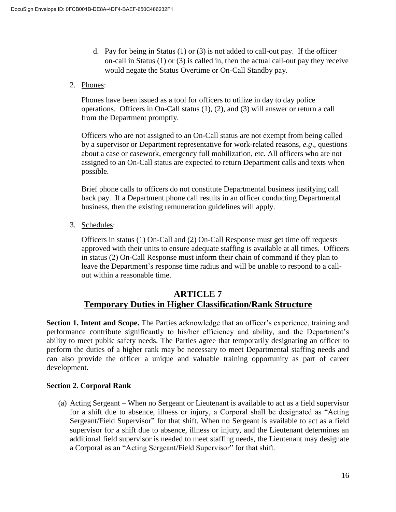- d. Pay for being in Status (1) or (3) is not added to call-out pay. If the officer on-call in Status (1) or (3) is called in, then the actual call-out pay they receive would negate the Status Overtime or On-Call Standby pay.
- 2. Phones:

Phones have been issued as a tool for officers to utilize in day to day police operations. Officers in On-Call status (1), (2), and (3) will answer or return a call from the Department promptly.

Officers who are not assigned to an On-Call status are not exempt from being called by a supervisor or Department representative for work-related reasons, *e.g*., questions about a case or casework, emergency full mobilization, etc. All officers who are not assigned to an On-Call status are expected to return Department calls and texts when possible.

Brief phone calls to officers do not constitute Departmental business justifying call back pay. If a Department phone call results in an officer conducting Departmental business, then the existing remuneration guidelines will apply.

3. Schedules:

Officers in status (1) On-Call and (2) On-Call Response must get time off requests approved with their units to ensure adequate staffing is available at all times. Officers in status (2) On-Call Response must inform their chain of command if they plan to leave the Department's response time radius and will be unable to respond to a callout within a reasonable time.

# **ARTICLE 7 Temporary Duties in Higher Classification/Rank Structure**

**Section 1. Intent and Scope.** The Parties acknowledge that an officer's experience, training and performance contribute significantly to his/her efficiency and ability, and the Department's ability to meet public safety needs. The Parties agree that temporarily designating an officer to perform the duties of a higher rank may be necessary to meet Departmental staffing needs and can also provide the officer a unique and valuable training opportunity as part of career development.

# **Section 2. Corporal Rank**

(a) Acting Sergeant – When no Sergeant or Lieutenant is available to act as a field supervisor for a shift due to absence, illness or injury, a Corporal shall be designated as "Acting Sergeant/Field Supervisor" for that shift. When no Sergeant is available to act as a field supervisor for a shift due to absence, illness or injury, and the Lieutenant determines an additional field supervisor is needed to meet staffing needs, the Lieutenant may designate a Corporal as an "Acting Sergeant/Field Supervisor" for that shift.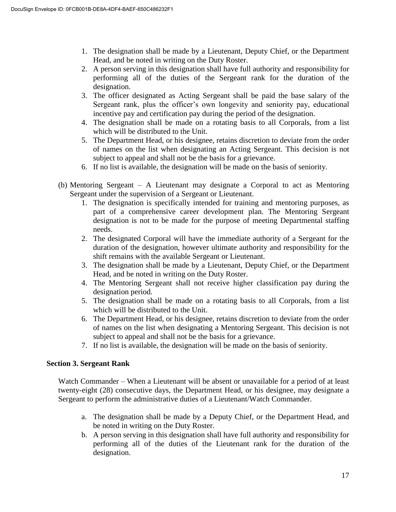- 1. The designation shall be made by a Lieutenant, Deputy Chief, or the Department Head, and be noted in writing on the Duty Roster.
- 2. A person serving in this designation shall have full authority and responsibility for performing all of the duties of the Sergeant rank for the duration of the designation.
- 3. The officer designated as Acting Sergeant shall be paid the base salary of the Sergeant rank, plus the officer's own longevity and seniority pay, educational incentive pay and certification pay during the period of the designation.
- 4. The designation shall be made on a rotating basis to all Corporals, from a list which will be distributed to the Unit.
- 5. The Department Head, or his designee, retains discretion to deviate from the order of names on the list when designating an Acting Sergeant. This decision is not subject to appeal and shall not be the basis for a grievance.
- 6. If no list is available, the designation will be made on the basis of seniority.
- (b) Mentoring Sergeant A Lieutenant may designate a Corporal to act as Mentoring Sergeant under the supervision of a Sergeant or Lieutenant.
	- 1. The designation is specifically intended for training and mentoring purposes, as part of a comprehensive career development plan. The Mentoring Sergeant designation is not to be made for the purpose of meeting Departmental staffing needs.
	- 2. The designated Corporal will have the immediate authority of a Sergeant for the duration of the designation, however ultimate authority and responsibility for the shift remains with the available Sergeant or Lieutenant.
	- 3. The designation shall be made by a Lieutenant, Deputy Chief, or the Department Head, and be noted in writing on the Duty Roster.
	- 4. The Mentoring Sergeant shall not receive higher classification pay during the designation period.
	- 5. The designation shall be made on a rotating basis to all Corporals, from a list which will be distributed to the Unit.
	- 6. The Department Head, or his designee, retains discretion to deviate from the order of names on the list when designating a Mentoring Sergeant. This decision is not subject to appeal and shall not be the basis for a grievance.
	- 7. If no list is available, the designation will be made on the basis of seniority.

#### **Section 3. Sergeant Rank**

Watch Commander – When a Lieutenant will be absent or unavailable for a period of at least twenty-eight (28) consecutive days, the Department Head, or his designee, may designate a Sergeant to perform the administrative duties of a Lieutenant/Watch Commander.

- a. The designation shall be made by a Deputy Chief, or the Department Head, and be noted in writing on the Duty Roster.
- b. A person serving in this designation shall have full authority and responsibility for performing all of the duties of the Lieutenant rank for the duration of the designation.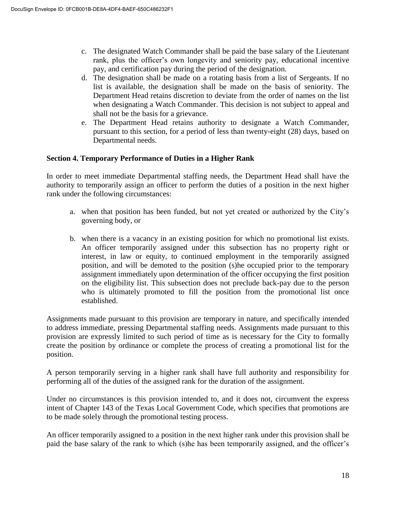- c. The designated Watch Commander shall be paid the base salary of the Lieutenant rank, plus the officer's own longevity and seniority pay, educational incentive pay, and certification pay during the period of the designation.
- d. The designation shall be made on a rotating basis from a list of Sergeants. If no list is available, the designation shall be made on the basis of seniority. The Department Head retains discretion to deviate from the order of names on the list when designating a Watch Commander. This decision is not subject to appeal and shall not be the basis for a grievance.
- e. The Department Head retains authority to designate a Watch Commander, pursuant to this section, for a period of less than twenty-eight (28) days, based on Departmental needs.

## **Section 4. Temporary Performance of Duties in a Higher Rank**

In order to meet immediate Departmental staffing needs, the Department Head shall have the authority to temporarily assign an officer to perform the duties of a position in the next higher rank under the following circumstances:

- a. when that position has been funded, but not yet created or authorized by the City's governing body, or
- b. when there is a vacancy in an existing position for which no promotional list exists. An officer temporarily assigned under this subsection has no property right or interest, in law or equity, to continued employment in the temporarily assigned position, and will be demoted to the position (s)he occupied prior to the temporary assignment immediately upon determination of the officer occupying the first position on the eligibility list. This subsection does not preclude back-pay due to the person who is ultimately promoted to fill the position from the promotional list once established.

Assignments made pursuant to this provision are temporary in nature, and specifically intended to address immediate, pressing Departmental staffing needs. Assignments made pursuant to this provision are expressly limited to such period of time as is necessary for the City to formally create the position by ordinance or complete the process of creating a promotional list for the position.

A person temporarily serving in a higher rank shall have full authority and responsibility for performing all of the duties of the assigned rank for the duration of the assignment.

Under no circumstances is this provision intended to, and it does not, circumvent the express intent of Chapter 143 of the Texas Local Government Code, which specifies that promotions are to be made solely through the promotional testing process.

An officer temporarily assigned to a position in the next higher rank under this provision shall be paid the base salary of the rank to which (s)he has been temporarily assigned, and the officer's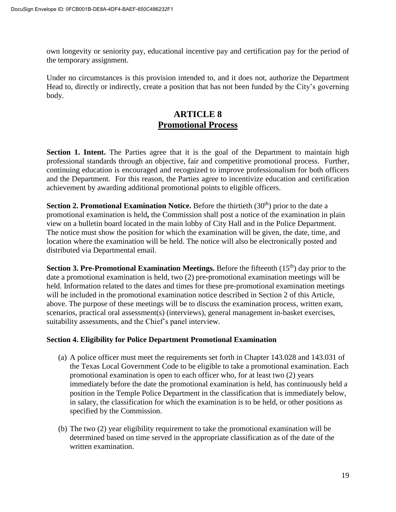own longevity or seniority pay, educational incentive pay and certification pay for the period of the temporary assignment.

Under no circumstances is this provision intended to, and it does not, authorize the Department Head to, directly or indirectly, create a position that has not been funded by the City's governing body.

# **ARTICLE 8 Promotional Process**

**Section 1. Intent.** The Parties agree that it is the goal of the Department to maintain high professional standards through an objective, fair and competitive promotional process. Further, continuing education is encouraged and recognized to improve professionalism for both officers and the Department. For this reason, the Parties agree to incentivize education and certification achievement by awarding additional promotional points to eligible officers.

**Section 2. Promotional Examination Notice.** Before the thirtieth (30<sup>th</sup>) prior to the date a promotional examination is held**,** the Commission shall post a notice of the examination in plain view on a bulletin board located in the main lobby of City Hall and in the Police Department. The notice must show the position for which the examination will be given, the date, time, and location where the examination will be held. The notice will also be electronically posted and distributed via Departmental email.

**Section 3. Pre-Promotional Examination Meetings.** Before the fifteenth (15<sup>th</sup>) day prior to the date a promotional examination is held, two (2) pre-promotional examination meetings will be held. Information related to the dates and times for these pre-promotional examination meetings will be included in the promotional examination notice described in Section 2 of this Article, above. The purpose of these meetings will be to discuss the examination process, written exam, scenarios, practical oral assessment(s) (interviews), general management in-basket exercises, suitability assessments, and the Chief's panel interview.

# **Section 4. Eligibility for Police Department Promotional Examination**

- (a) A police officer must meet the requirements set forth in Chapter 143.028 and 143.031 of the Texas Local Government Code to be eligible to take a promotional examination. Each promotional examination is open to each officer who, for at least two (2) years immediately before the date the promotional examination is held, has continuously held a position in the Temple Police Department in the classification that is immediately below, in salary, the classification for which the examination is to be held, or other positions as specified by the Commission.
- (b) The two (2) year eligibility requirement to take the promotional examination will be determined based on time served in the appropriate classification as of the date of the written examination.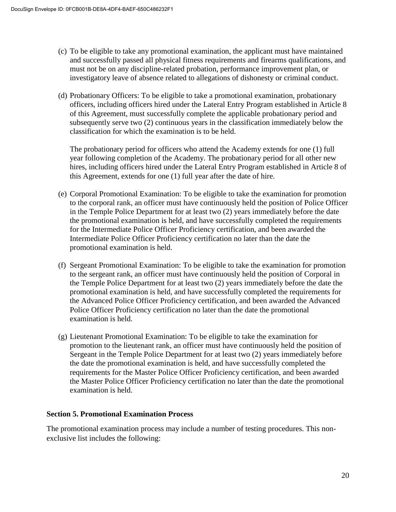- (c) To be eligible to take any promotional examination, the applicant must have maintained and successfully passed all physical fitness requirements and firearms qualifications, and must not be on any discipline-related probation, performance improvement plan, or investigatory leave of absence related to allegations of dishonesty or criminal conduct.
- (d) Probationary Officers: To be eligible to take a promotional examination, probationary officers, including officers hired under the Lateral Entry Program established in Article 8 of this Agreement, must successfully complete the applicable probationary period and subsequently serve two (2) continuous years in the classification immediately below the classification for which the examination is to be held.

The probationary period for officers who attend the Academy extends for one (1) full year following completion of the Academy. The probationary period for all other new hires, including officers hired under the Lateral Entry Program established in Article 8 of this Agreement, extends for one (1) full year after the date of hire.

- (e) Corporal Promotional Examination: To be eligible to take the examination for promotion to the corporal rank, an officer must have continuously held the position of Police Officer in the Temple Police Department for at least two (2) years immediately before the date the promotional examination is held, and have successfully completed the requirements for the Intermediate Police Officer Proficiency certification, and been awarded the Intermediate Police Officer Proficiency certification no later than the date the promotional examination is held.
- (f) Sergeant Promotional Examination: To be eligible to take the examination for promotion to the sergeant rank, an officer must have continuously held the position of Corporal in the Temple Police Department for at least two (2) years immediately before the date the promotional examination is held, and have successfully completed the requirements for the Advanced Police Officer Proficiency certification, and been awarded the Advanced Police Officer Proficiency certification no later than the date the promotional examination is held.
- (g) Lieutenant Promotional Examination: To be eligible to take the examination for promotion to the lieutenant rank, an officer must have continuously held the position of Sergeant in the Temple Police Department for at least two (2) years immediately before the date the promotional examination is held, and have successfully completed the requirements for the Master Police Officer Proficiency certification, and been awarded the Master Police Officer Proficiency certification no later than the date the promotional examination is held.

# **Section 5. Promotional Examination Process**

The promotional examination process may include a number of testing procedures. This nonexclusive list includes the following: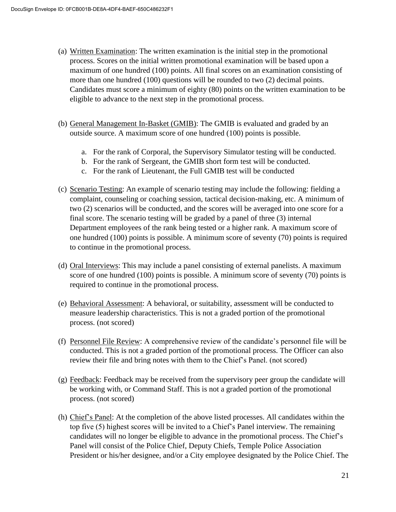- (a) Written Examination: The written examination is the initial step in the promotional process. Scores on the initial written promotional examination will be based upon a maximum of one hundred (100) points. All final scores on an examination consisting of more than one hundred (100) questions will be rounded to two (2) decimal points. Candidates must score a minimum of eighty (80) points on the written examination to be eligible to advance to the next step in the promotional process.
- (b) General Management In-Basket (GMIB): The GMIB is evaluated and graded by an outside source. A maximum score of one hundred (100) points is possible.
	- a. For the rank of Corporal, the Supervisory Simulator testing will be conducted.
	- b. For the rank of Sergeant, the GMIB short form test will be conducted.
	- c. For the rank of Lieutenant, the Full GMIB test will be conducted
- (c) Scenario Testing: An example of scenario testing may include the following: fielding a complaint, counseling or coaching session, tactical decision-making, etc. A minimum of two (2) scenarios will be conducted, and the scores will be averaged into one score for a final score. The scenario testing will be graded by a panel of three (3) internal Department employees of the rank being tested or a higher rank. A maximum score of one hundred (100) points is possible. A minimum score of seventy (70) points is required to continue in the promotional process.
- (d) Oral Interviews: This may include a panel consisting of external panelists. A maximum score of one hundred (100) points is possible. A minimum score of seventy (70) points is required to continue in the promotional process.
- (e) Behavioral Assessment: A behavioral, or suitability, assessment will be conducted to measure leadership characteristics. This is not a graded portion of the promotional process. (not scored)
- (f) Personnel File Review: A comprehensive review of the candidate's personnel file will be conducted. This is not a graded portion of the promotional process. The Officer can also review their file and bring notes with them to the Chief's Panel. (not scored)
- $(g)$  Feedback: Feedback may be received from the supervisory peer group the candidate will be working with, or Command Staff. This is not a graded portion of the promotional process. (not scored)
- (h) Chief's Panel: At the completion of the above listed processes. All candidates within the top five (5) highest scores will be invited to a Chief's Panel interview. The remaining candidates will no longer be eligible to advance in the promotional process. The Chief's Panel will consist of the Police Chief, Deputy Chiefs, Temple Police Association President or his/her designee, and/or a City employee designated by the Police Chief. The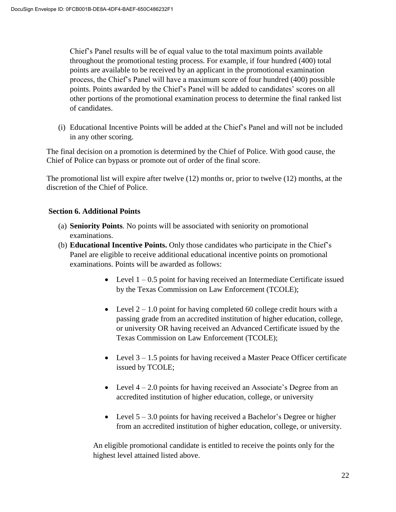Chief's Panel results will be of equal value to the total maximum points available throughout the promotional testing process. For example, if four hundred (400) total points are available to be received by an applicant in the promotional examination process, the Chief's Panel will have a maximum score of four hundred (400) possible points. Points awarded by the Chief's Panel will be added to candidates' scores on all other portions of the promotional examination process to determine the final ranked list of candidates.

(i) Educational Incentive Points will be added at the Chief's Panel and will not be included in any other scoring.

The final decision on a promotion is determined by the Chief of Police. With good cause, the Chief of Police can bypass or promote out of order of the final score.

The promotional list will expire after twelve (12) months or, prior to twelve (12) months, at the discretion of the Chief of Police.

# **Section 6. Additional Points**

- (a) **Seniority Points**. No points will be associated with seniority on promotional examinations.
- (b) **Educational Incentive Points.** Only those candidates who participate in the Chief's Panel are eligible to receive additional educational incentive points on promotional examinations. Points will be awarded as follows:
	- Level  $1 0.5$  point for having received an Intermediate Certificate issued by the Texas Commission on Law Enforcement (TCOLE);
	- Level  $2 1.0$  point for having completed 60 college credit hours with a passing grade from an accredited institution of higher education, college, or university OR having received an Advanced Certificate issued by the Texas Commission on Law Enforcement (TCOLE);
	- Level  $3 1.5$  points for having received a Master Peace Officer certificate issued by TCOLE;
	- Level  $4 2.0$  points for having received an Associate's Degree from an accredited institution of higher education, college, or university
	- Level  $5 3.0$  points for having received a Bachelor's Degree or higher from an accredited institution of higher education, college, or university.

An eligible promotional candidate is entitled to receive the points only for the highest level attained listed above.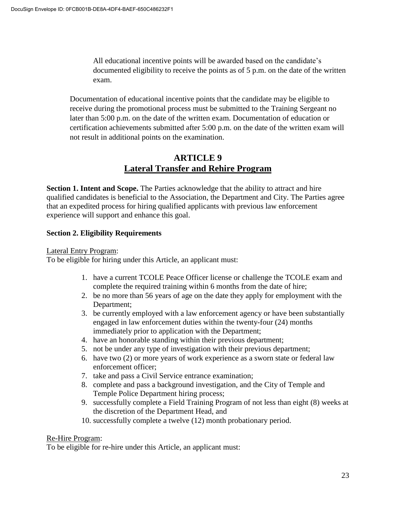All educational incentive points will be awarded based on the candidate's documented eligibility to receive the points as of 5 p.m. on the date of the written exam.

Documentation of educational incentive points that the candidate may be eligible to receive during the promotional process must be submitted to the Training Sergeant no later than 5:00 p.m. on the date of the written exam. Documentation of education or certification achievements submitted after 5:00 p.m. on the date of the written exam will not result in additional points on the examination.

# **ARTICLE 9 Lateral Transfer and Rehire Program**

**Section 1. Intent and Scope.** The Parties acknowledge that the ability to attract and hire qualified candidates is beneficial to the Association, the Department and City. The Parties agree that an expedited process for hiring qualified applicants with previous law enforcement experience will support and enhance this goal.

# **Section 2. Eligibility Requirements**

Lateral Entry Program:

To be eligible for hiring under this Article, an applicant must:

- 1. have a current TCOLE Peace Officer license or challenge the TCOLE exam and complete the required training within 6 months from the date of hire;
- 2. be no more than 56 years of age on the date they apply for employment with the Department;
- 3. be currently employed with a law enforcement agency or have been substantially engaged in law enforcement duties within the twenty-four (24) months immediately prior to application with the Department;
- 4. have an honorable standing within their previous department;
- 5. not be under any type of investigation with their previous department;
- 6. have two (2) or more years of work experience as a sworn state or federal law enforcement officer;
- 7. take and pass a Civil Service entrance examination;
- 8. complete and pass a background investigation, and the City of Temple and Temple Police Department hiring process;
- 9. successfully complete a Field Training Program of not less than eight (8) weeks at the discretion of the Department Head, and
- 10. successfully complete a twelve (12) month probationary period.

#### Re-Hire Program:

To be eligible for re-hire under this Article, an applicant must: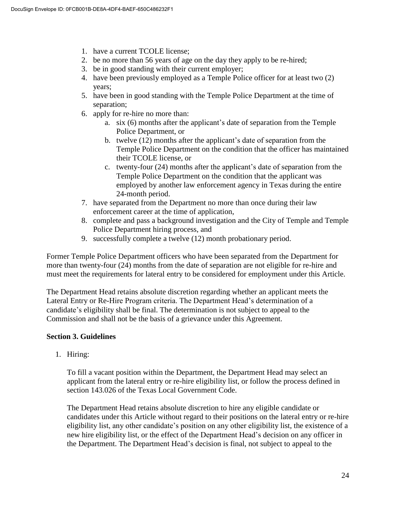- 1. have a current TCOLE license;
- 2. be no more than 56 years of age on the day they apply to be re-hired;
- 3. be in good standing with their current employer;
- 4. have been previously employed as a Temple Police officer for at least two (2) years;
- 5. have been in good standing with the Temple Police Department at the time of separation;
- 6. apply for re-hire no more than:
	- a. six (6) months after the applicant's date of separation from the Temple Police Department, or
	- b. twelve (12) months after the applicant's date of separation from the Temple Police Department on the condition that the officer has maintained their TCOLE license, or
	- c. twenty-four (24) months after the applicant's date of separation from the Temple Police Department on the condition that the applicant was employed by another law enforcement agency in Texas during the entire 24-month period.
- 7. have separated from the Department no more than once during their law enforcement career at the time of application,
- 8. complete and pass a background investigation and the City of Temple and Temple Police Department hiring process, and
- 9. successfully complete a twelve (12) month probationary period.

Former Temple Police Department officers who have been separated from the Department for more than twenty-four (24) months from the date of separation are not eligible for re-hire and must meet the requirements for lateral entry to be considered for employment under this Article.

The Department Head retains absolute discretion regarding whether an applicant meets the Lateral Entry or Re-Hire Program criteria. The Department Head's determination of a candidate's eligibility shall be final. The determination is not subject to appeal to the Commission and shall not be the basis of a grievance under this Agreement.

# **Section 3. Guidelines**

1. Hiring:

To fill a vacant position within the Department, the Department Head may select an applicant from the lateral entry or re-hire eligibility list, or follow the process defined in section 143.026 of the Texas Local Government Code.

The Department Head retains absolute discretion to hire any eligible candidate or candidates under this Article without regard to their positions on the lateral entry or re-hire eligibility list, any other candidate's position on any other eligibility list, the existence of a new hire eligibility list, or the effect of the Department Head's decision on any officer in the Department. The Department Head's decision is final, not subject to appeal to the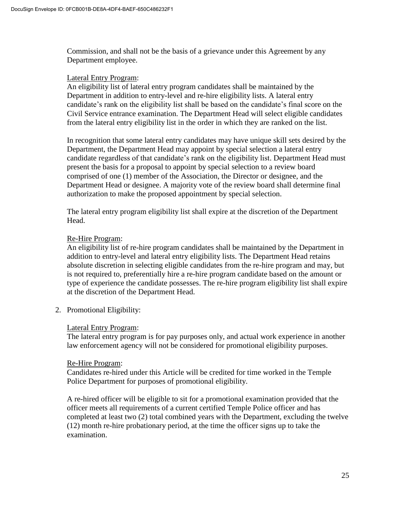Commission, and shall not be the basis of a grievance under this Agreement by any Department employee.

#### Lateral Entry Program:

An eligibility list of lateral entry program candidates shall be maintained by the Department in addition to entry-level and re-hire eligibility lists. A lateral entry candidate's rank on the eligibility list shall be based on the candidate's final score on the Civil Service entrance examination. The Department Head will select eligible candidates from the lateral entry eligibility list in the order in which they are ranked on the list.

In recognition that some lateral entry candidates may have unique skill sets desired by the Department, the Department Head may appoint by special selection a lateral entry candidate regardless of that candidate's rank on the eligibility list. Department Head must present the basis for a proposal to appoint by special selection to a review board comprised of one (1) member of the Association, the Director or designee, and the Department Head or designee. A majority vote of the review board shall determine final authorization to make the proposed appointment by special selection.

The lateral entry program eligibility list shall expire at the discretion of the Department Head.

#### Re-Hire Program:

An eligibility list of re-hire program candidates shall be maintained by the Department in addition to entry-level and lateral entry eligibility lists. The Department Head retains absolute discretion in selecting eligible candidates from the re-hire program and may, but is not required to, preferentially hire a re-hire program candidate based on the amount or type of experience the candidate possesses. The re-hire program eligibility list shall expire at the discretion of the Department Head.

2. Promotional Eligibility:

#### Lateral Entry Program:

The lateral entry program is for pay purposes only, and actual work experience in another law enforcement agency will not be considered for promotional eligibility purposes.

#### Re-Hire Program:

Candidates re-hired under this Article will be credited for time worked in the Temple Police Department for purposes of promotional eligibility.

A re-hired officer will be eligible to sit for a promotional examination provided that the officer meets all requirements of a current certified Temple Police officer and has completed at least two (2) total combined years with the Department, excluding the twelve (12) month re-hire probationary period, at the time the officer signs up to take the examination.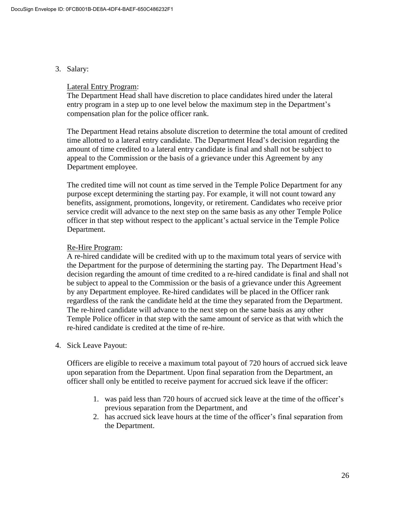3. Salary:

#### Lateral Entry Program:

The Department Head shall have discretion to place candidates hired under the lateral entry program in a step up to one level below the maximum step in the Department's compensation plan for the police officer rank.

The Department Head retains absolute discretion to determine the total amount of credited time allotted to a lateral entry candidate. The Department Head's decision regarding the amount of time credited to a lateral entry candidate is final and shall not be subject to appeal to the Commission or the basis of a grievance under this Agreement by any Department employee.

The credited time will not count as time served in the Temple Police Department for any purpose except determining the starting pay. For example, it will not count toward any benefits, assignment, promotions, longevity, or retirement. Candidates who receive prior service credit will advance to the next step on the same basis as any other Temple Police officer in that step without respect to the applicant's actual service in the Temple Police Department.

## Re-Hire Program:

A re-hired candidate will be credited with up to the maximum total years of service with the Department for the purpose of determining the starting pay. The Department Head's decision regarding the amount of time credited to a re-hired candidate is final and shall not be subject to appeal to the Commission or the basis of a grievance under this Agreement by any Department employee. Re-hired candidates will be placed in the Officer rank regardless of the rank the candidate held at the time they separated from the Department. The re-hired candidate will advance to the next step on the same basis as any other Temple Police officer in that step with the same amount of service as that with which the re-hired candidate is credited at the time of re-hire.

4. Sick Leave Payout:

Officers are eligible to receive a maximum total payout of 720 hours of accrued sick leave upon separation from the Department. Upon final separation from the Department, an officer shall only be entitled to receive payment for accrued sick leave if the officer:

- 1. was paid less than 720 hours of accrued sick leave at the time of the officer's previous separation from the Department, and
- 2. has accrued sick leave hours at the time of the officer's final separation from the Department.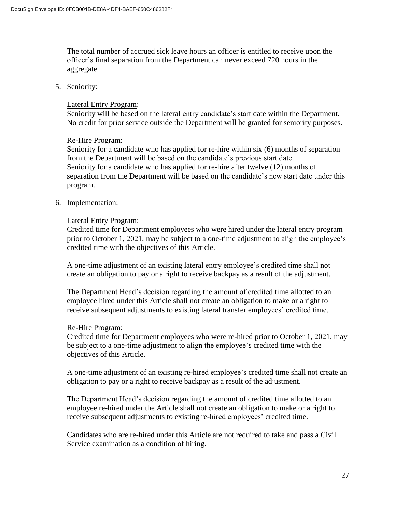The total number of accrued sick leave hours an officer is entitled to receive upon the officer's final separation from the Department can never exceed 720 hours in the aggregate.

5. Seniority:

#### Lateral Entry Program:

Seniority will be based on the lateral entry candidate's start date within the Department. No credit for prior service outside the Department will be granted for seniority purposes.

#### Re-Hire Program:

Seniority for a candidate who has applied for re-hire within six (6) months of separation from the Department will be based on the candidate's previous start date. Seniority for a candidate who has applied for re-hire after twelve (12) months of separation from the Department will be based on the candidate's new start date under this program.

#### 6. Implementation:

#### Lateral Entry Program:

Credited time for Department employees who were hired under the lateral entry program prior to October 1, 2021, may be subject to a one-time adjustment to align the employee's credited time with the objectives of this Article.

A one-time adjustment of an existing lateral entry employee's credited time shall not create an obligation to pay or a right to receive backpay as a result of the adjustment.

The Department Head's decision regarding the amount of credited time allotted to an employee hired under this Article shall not create an obligation to make or a right to receive subsequent adjustments to existing lateral transfer employees' credited time.

#### Re-Hire Program:

Credited time for Department employees who were re-hired prior to October 1, 2021, may be subject to a one-time adjustment to align the employee's credited time with the objectives of this Article.

A one-time adjustment of an existing re-hired employee's credited time shall not create an obligation to pay or a right to receive backpay as a result of the adjustment.

The Department Head's decision regarding the amount of credited time allotted to an employee re-hired under the Article shall not create an obligation to make or a right to receive subsequent adjustments to existing re-hired employees' credited time.

Candidates who are re-hired under this Article are not required to take and pass a Civil Service examination as a condition of hiring.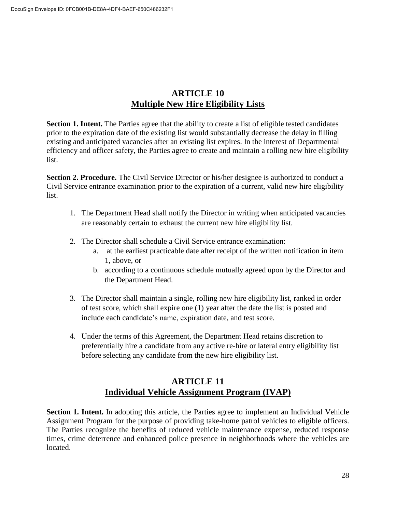# **ARTICLE 10 Multiple New Hire Eligibility Lists**

**Section 1. Intent.** The Parties agree that the ability to create a list of eligible tested candidates prior to the expiration date of the existing list would substantially decrease the delay in filling existing and anticipated vacancies after an existing list expires. In the interest of Departmental efficiency and officer safety, the Parties agree to create and maintain a rolling new hire eligibility list.

**Section 2. Procedure.** The Civil Service Director or his/her designee is authorized to conduct a Civil Service entrance examination prior to the expiration of a current, valid new hire eligibility list.

- 1. The Department Head shall notify the Director in writing when anticipated vacancies are reasonably certain to exhaust the current new hire eligibility list.
- 2. The Director shall schedule a Civil Service entrance examination:
	- a. at the earliest practicable date after receipt of the written notification in item 1, above, or
	- b. according to a continuous schedule mutually agreed upon by the Director and the Department Head.
- 3. The Director shall maintain a single, rolling new hire eligibility list, ranked in order of test score, which shall expire one (1) year after the date the list is posted and include each candidate's name, expiration date, and test score.
- 4. Under the terms of this Agreement, the Department Head retains discretion to preferentially hire a candidate from any active re-hire or lateral entry eligibility list before selecting any candidate from the new hire eligibility list.

# **ARTICLE 11 Individual Vehicle Assignment Program (IVAP)**

**Section 1. Intent.** In adopting this article, the Parties agree to implement an Individual Vehicle Assignment Program for the purpose of providing take-home patrol vehicles to eligible officers. The Parties recognize the benefits of reduced vehicle maintenance expense, reduced response times, crime deterrence and enhanced police presence in neighborhoods where the vehicles are located.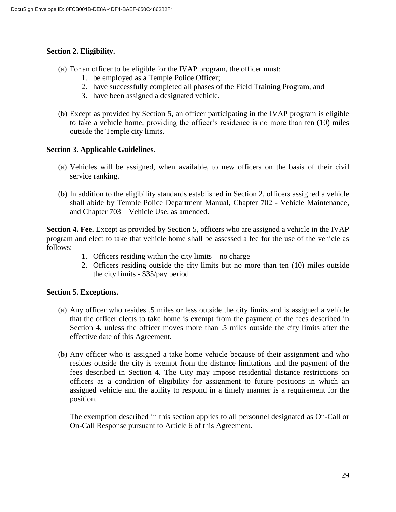# **Section 2. Eligibility.**

- (a) For an officer to be eligible for the IVAP program, the officer must:
	- 1. be employed as a Temple Police Officer;
	- 2. have successfully completed all phases of the Field Training Program, and
	- 3. have been assigned a designated vehicle.
- (b) Except as provided by Section 5, an officer participating in the IVAP program is eligible to take a vehicle home, providing the officer's residence is no more than ten (10) miles outside the Temple city limits.

#### **Section 3. Applicable Guidelines.**

- (a) Vehicles will be assigned, when available, to new officers on the basis of their civil service ranking.
- (b) In addition to the eligibility standards established in Section 2, officers assigned a vehicle shall abide by Temple Police Department Manual, Chapter 702 - Vehicle Maintenance, and Chapter 703 – Vehicle Use, as amended.

**Section 4. Fee.** Except as provided by Section 5, officers who are assigned a vehicle in the IVAP program and elect to take that vehicle home shall be assessed a fee for the use of the vehicle as follows:

- 1. Officers residing within the city limits no charge
- 2. Officers residing outside the city limits but no more than ten (10) miles outside the city limits - \$35/pay period

#### **Section 5. Exceptions.**

- (a) Any officer who resides .5 miles or less outside the city limits and is assigned a vehicle that the officer elects to take home is exempt from the payment of the fees described in Section 4, unless the officer moves more than .5 miles outside the city limits after the effective date of this Agreement.
- (b) Any officer who is assigned a take home vehicle because of their assignment and who resides outside the city is exempt from the distance limitations and the payment of the fees described in Section 4. The City may impose residential distance restrictions on officers as a condition of eligibility for assignment to future positions in which an assigned vehicle and the ability to respond in a timely manner is a requirement for the position.

The exemption described in this section applies to all personnel designated as On-Call or On-Call Response pursuant to Article 6 of this Agreement.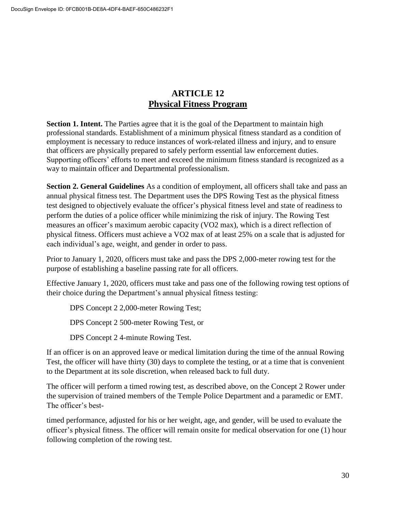# **ARTICLE 12 Physical Fitness Program**

**Section 1. Intent.** The Parties agree that it is the goal of the Department to maintain high professional standards. Establishment of a minimum physical fitness standard as a condition of employment is necessary to reduce instances of work-related illness and injury, and to ensure that officers are physically prepared to safely perform essential law enforcement duties. Supporting officers' efforts to meet and exceed the minimum fitness standard is recognized as a way to maintain officer and Departmental professionalism.

**Section 2. General Guidelines** As a condition of employment, all officers shall take and pass an annual physical fitness test. The Department uses the DPS Rowing Test as the physical fitness test designed to objectively evaluate the officer's physical fitness level and state of readiness to perform the duties of a police officer while minimizing the risk of injury. The Rowing Test measures an officer's maximum aerobic capacity (VO2 max), which is a direct reflection of physical fitness. Officers must achieve a VO2 max of at least 25% on a scale that is adjusted for each individual's age, weight, and gender in order to pass.

Prior to January 1, 2020, officers must take and pass the DPS 2,000-meter rowing test for the purpose of establishing a baseline passing rate for all officers.

Effective January 1, 2020, officers must take and pass one of the following rowing test options of their choice during the Department's annual physical fitness testing:

DPS Concept 2 2,000-meter Rowing Test;

DPS Concept 2 500-meter Rowing Test, or

DPS Concept 2 4-minute Rowing Test.

If an officer is on an approved leave or medical limitation during the time of the annual Rowing Test, the officer will have thirty (30) days to complete the testing, or at a time that is convenient to the Department at its sole discretion, when released back to full duty.

The officer will perform a timed rowing test, as described above, on the Concept 2 Rower under the supervision of trained members of the Temple Police Department and a paramedic or EMT. The officer's best-

timed performance, adjusted for his or her weight, age, and gender, will be used to evaluate the officer's physical fitness. The officer will remain onsite for medical observation for one (1) hour following completion of the rowing test.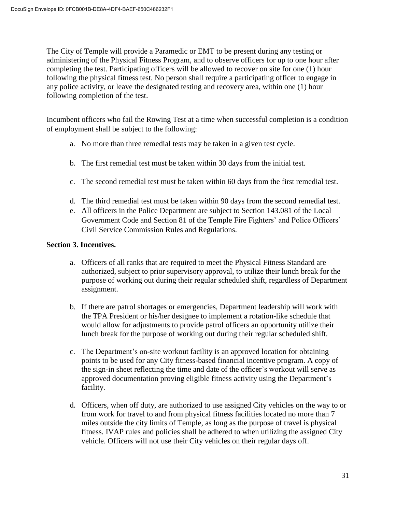The City of Temple will provide a Paramedic or EMT to be present during any testing or administering of the Physical Fitness Program, and to observe officers for up to one hour after completing the test. Participating officers will be allowed to recover on site for one (1) hour following the physical fitness test. No person shall require a participating officer to engage in any police activity, or leave the designated testing and recovery area, within one (1) hour following completion of the test.

Incumbent officers who fail the Rowing Test at a time when successful completion is a condition of employment shall be subject to the following:

- a. No more than three remedial tests may be taken in a given test cycle.
- b. The first remedial test must be taken within 30 days from the initial test.
- c. The second remedial test must be taken within 60 days from the first remedial test.
- d. The third remedial test must be taken within 90 days from the second remedial test.
- e. All officers in the Police Department are subject to Section 143.081 of the Local Government Code and Section 81 of the Temple Fire Fighters' and Police Officers' Civil Service Commission Rules and Regulations.

#### **Section 3. Incentives.**

- a. Officers of all ranks that are required to meet the Physical Fitness Standard are authorized, subject to prior supervisory approval, to utilize their lunch break for the purpose of working out during their regular scheduled shift, regardless of Department assignment.
- b. If there are patrol shortages or emergencies, Department leadership will work with the TPA President or his/her designee to implement a rotation-like schedule that would allow for adjustments to provide patrol officers an opportunity utilize their lunch break for the purpose of working out during their regular scheduled shift.
- c. The Department's on-site workout facility is an approved location for obtaining points to be used for any City fitness-based financial incentive program. A copy of the sign-in sheet reflecting the time and date of the officer's workout will serve as approved documentation proving eligible fitness activity using the Department's facility.
- d. Officers, when off duty, are authorized to use assigned City vehicles on the way to or from work for travel to and from physical fitness facilities located no more than 7 miles outside the city limits of Temple, as long as the purpose of travel is physical fitness. IVAP rules and policies shall be adhered to when utilizing the assigned City vehicle. Officers will not use their City vehicles on their regular days off.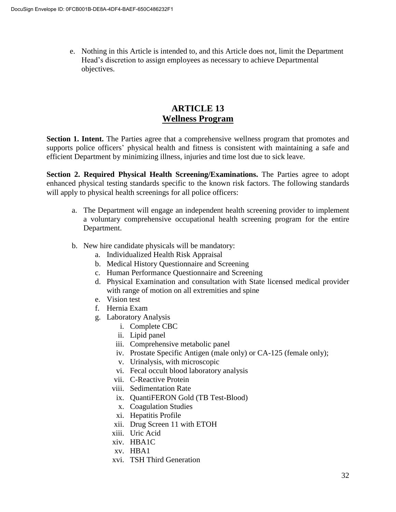e. Nothing in this Article is intended to, and this Article does not, limit the Department Head's discretion to assign employees as necessary to achieve Departmental objectives.

# **ARTICLE 13 Wellness Program**

**Section 1. Intent.** The Parties agree that a comprehensive wellness program that promotes and supports police officers' physical health and fitness is consistent with maintaining a safe and efficient Department by minimizing illness, injuries and time lost due to sick leave.

**Section 2. Required Physical Health Screening/Examinations.** The Parties agree to adopt enhanced physical testing standards specific to the known risk factors. The following standards will apply to physical health screenings for all police officers:

- a. The Department will engage an independent health screening provider to implement a voluntary comprehensive occupational health screening program for the entire Department.
- b. New hire candidate physicals will be mandatory:
	- a. Individualized Health Risk Appraisal
	- b. Medical History Questionnaire and Screening
	- c. Human Performance Questionnaire and Screening
	- d. Physical Examination and consultation with State licensed medical provider with range of motion on all extremities and spine
	- e. Vision test
	- f. Hernia Exam
	- g. Laboratory Analysis
		- i. Complete CBC
		- ii. Lipid panel
		- iii. Comprehensive metabolic panel
		- iv. Prostate Specific Antigen (male only) or CA-125 (female only);
		- v. Urinalysis, with microscopic
		- vi. Fecal occult blood laboratory analysis
		- vii. C-Reactive Protein
		- viii. Sedimentation Rate
			- ix. QuantiFERON Gold (TB Test-Blood)
			- x. Coagulation Studies
		- xi. Hepatitis Profile
		- xii. Drug Screen 11 with ETOH
		- xiii. Uric Acid
		- xiv. HBA1C
		- xv. HBA1
		- xvi. TSH Third Generation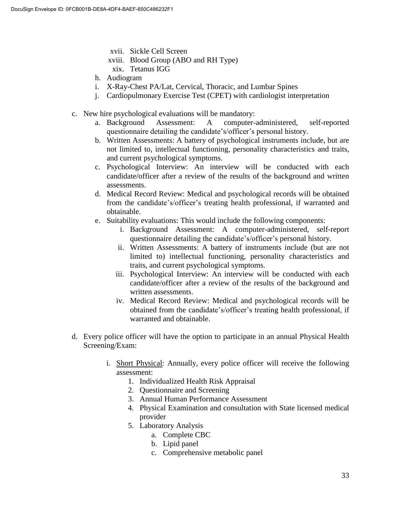- xvii. Sickle Cell Screen
- xviii. Blood Group (ABO and RH Type) xix. Tetanus IGG
- 
- h. Audiogram
- i. X-Ray-Chest PA/Lat, Cervical, Thoracic, and Lumbar Spines
- j. Cardiopulmonary Exercise Test (CPET) with cardiologist interpretation
- c. New hire psychological evaluations will be mandatory:
	- a. Background Assessment: A computer-administered, self-reported questionnaire detailing the candidate's/officer's personal history.
	- b. Written Assessments: A battery of psychological instruments include, but are not limited to, intellectual functioning, personality characteristics and traits, and current psychological symptoms.
	- c. Psychological Interview: An interview will be conducted with each candidate/officer after a review of the results of the background and written assessments.
	- d. Medical Record Review: Medical and psychological records will be obtained from the candidate's/officer's treating health professional, if warranted and obtainable.
	- e. Suitability evaluations: This would include the following components:
		- i. Background Assessment: A computer-administered, self-report questionnaire detailing the candidate's/officer's personal history.
		- ii. Written Assessments: A battery of instruments include (but are not limited to) intellectual functioning, personality characteristics and traits, and current psychological symptoms.
		- iii. Psychological Interview: An interview will be conducted with each candidate/officer after a review of the results of the background and written assessments.
		- iv. Medical Record Review: Medical and psychological records will be obtained from the candidate's/officer's treating health professional, if warranted and obtainable.
- d. Every police officer will have the option to participate in an annual Physical Health Screening/Exam:
	- i. Short Physical: Annually, every police officer will receive the following assessment:
		- 1. Individualized Health Risk Appraisal
		- 2. Questionnaire and Screening
		- 3. Annual Human Performance Assessment
		- 4. Physical Examination and consultation with State licensed medical provider
		- 5. Laboratory Analysis
			- a. Complete CBC
				- b. Lipid panel
				- c. Comprehensive metabolic panel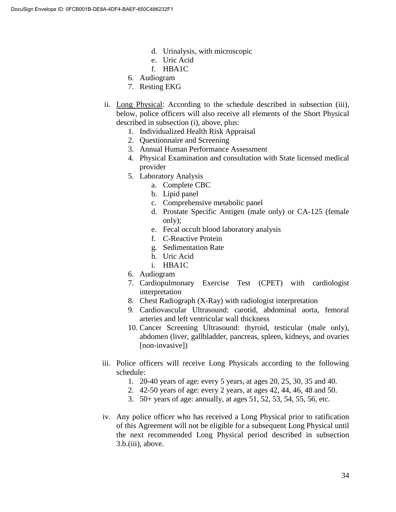- d. Urinalysis, with microscopic
- e. Uric Acid
- f. HBA1C
- 6. Audiogram
- 7. Resting EKG
- ii. Long Physical: According to the schedule described in subsection (iii), below, police officers will also receive all elements of the Short Physical described in subsection (i), above, plus:
	- 1. Individualized Health Risk Appraisal
	- 2. Questionnaire and Screening
	- 3. Annual Human Performance Assessment
	- 4. Physical Examination and consultation with State licensed medical provider
	- 5. Laboratory Analysis
		- a. Complete CBC
		- b. Lipid panel
		- c. Comprehensive metabolic panel
		- d. Prostate Specific Antigen (male only) or CA-125 (female only);
		- e. Fecal occult blood laboratory analysis
		- f. C-Reactive Protein
		- g. Sedimentation Rate
		- h. Uric Acid
		- i. HBA1C
	- 6. Audiogram
	- 7. Cardiopulmonary Exercise Test (CPET) with cardiologist interpretation
	- 8. Chest Radiograph (X-Ray) with radiologist interpretation
	- 9. Cardiovascular Ultrasound: carotid, abdominal aorta, femoral arteries and left ventricular wall thickness
	- 10. Cancer Screening Ultrasound: thyroid, testicular (male only), abdomen (liver, gallbladder, pancreas, spleen, kidneys, and ovaries [non-invasive])
- iii. Police officers will receive Long Physicals according to the following schedule:
	- 1. 20-40 years of age: every 5 years, at ages 20, 25, 30, 35 and 40.
	- 2. 42-50 years of age: every 2 years, at ages 42, 44, 46, 48 and 50.
	- 3. 50+ years of age: annually, at ages 51, 52, 53, 54, 55, 56, etc.
- iv. Any police officer who has received a Long Physical prior to ratification of this Agreement will not be eligible for a subsequent Long Physical until the next recommended Long Physical period described in subsection 3.b.(iii), above.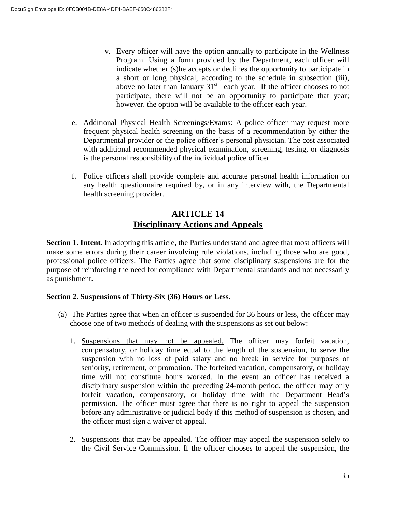- v. Every officer will have the option annually to participate in the Wellness Program. Using a form provided by the Department, each officer will indicate whether (s)he accepts or declines the opportunity to participate in a short or long physical, according to the schedule in subsection (iii), above no later than January  $31<sup>st</sup>$  each year. If the officer chooses to not participate, there will not be an opportunity to participate that year; however, the option will be available to the officer each year.
- e. Additional Physical Health Screenings/Exams: A police officer may request more frequent physical health screening on the basis of a recommendation by either the Departmental provider or the police officer's personal physician. The cost associated with additional recommended physical examination, screening, testing, or diagnosis is the personal responsibility of the individual police officer.
- f. Police officers shall provide complete and accurate personal health information on any health questionnaire required by, or in any interview with, the Departmental health screening provider.

# **ARTICLE 14 Disciplinary Actions and Appeals**

**Section 1. Intent.** In adopting this article, the Parties understand and agree that most officers will make some errors during their career involving rule violations, including those who are good, professional police officers. The Parties agree that some disciplinary suspensions are for the purpose of reinforcing the need for compliance with Departmental standards and not necessarily as punishment.

# **Section 2. Suspensions of Thirty-Six (36) Hours or Less.**

- (a) The Parties agree that when an officer is suspended for 36 hours or less, the officer may choose one of two methods of dealing with the suspensions as set out below:
	- 1. Suspensions that may not be appealed. The officer may forfeit vacation, compensatory, or holiday time equal to the length of the suspension, to serve the suspension with no loss of paid salary and no break in service for purposes of seniority, retirement, or promotion. The forfeited vacation, compensatory, or holiday time will not constitute hours worked. In the event an officer has received a disciplinary suspension within the preceding 24-month period, the officer may only forfeit vacation, compensatory, or holiday time with the Department Head's permission. The officer must agree that there is no right to appeal the suspension before any administrative or judicial body if this method of suspension is chosen, and the officer must sign a waiver of appeal.
	- 2. Suspensions that may be appealed. The officer may appeal the suspension solely to the Civil Service Commission. If the officer chooses to appeal the suspension, the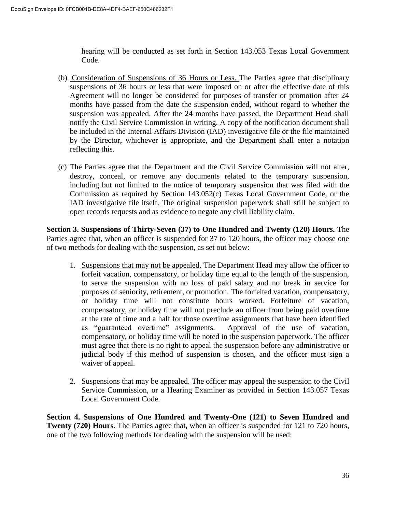hearing will be conducted as set forth in Section 143.053 Texas Local Government Code.

- (b) Consideration of Suspensions of 36 Hours or Less. The Parties agree that disciplinary suspensions of 36 hours or less that were imposed on or after the effective date of this Agreement will no longer be considered for purposes of transfer or promotion after 24 months have passed from the date the suspension ended, without regard to whether the suspension was appealed. After the 24 months have passed, the Department Head shall notify the Civil Service Commission in writing. A copy of the notification document shall be included in the Internal Affairs Division (IAD) investigative file or the file maintained by the Director, whichever is appropriate, and the Department shall enter a notation reflecting this.
- (c) The Parties agree that the Department and the Civil Service Commission will not alter, destroy, conceal, or remove any documents related to the temporary suspension, including but not limited to the notice of temporary suspension that was filed with the Commission as required by Section 143.052(c) Texas Local Government Code, or the IAD investigative file itself. The original suspension paperwork shall still be subject to open records requests and as evidence to negate any civil liability claim.

**Section 3. Suspensions of Thirty-Seven (37) to One Hundred and Twenty (120) Hours.** The Parties agree that, when an officer is suspended for 37 to 120 hours, the officer may choose one of two methods for dealing with the suspension, as set out below:

- 1. Suspensions that may not be appealed. The Department Head may allow the officer to forfeit vacation, compensatory, or holiday time equal to the length of the suspension, to serve the suspension with no loss of paid salary and no break in service for purposes of seniority, retirement, or promotion. The forfeited vacation, compensatory, or holiday time will not constitute hours worked. Forfeiture of vacation, compensatory, or holiday time will not preclude an officer from being paid overtime at the rate of time and a half for those overtime assignments that have been identified as "guaranteed overtime" assignments. Approval of the use of vacation, compensatory, or holiday time will be noted in the suspension paperwork. The officer must agree that there is no right to appeal the suspension before any administrative or judicial body if this method of suspension is chosen, and the officer must sign a waiver of appeal.
- 2. Suspensions that may be appealed. The officer may appeal the suspension to the Civil Service Commission, or a Hearing Examiner as provided in Section 143.057 Texas Local Government Code.

**Section 4. Suspensions of One Hundred and Twenty-One (121) to Seven Hundred and Twenty (720) Hours.** The Parties agree that, when an officer is suspended for 121 to 720 hours, one of the two following methods for dealing with the suspension will be used: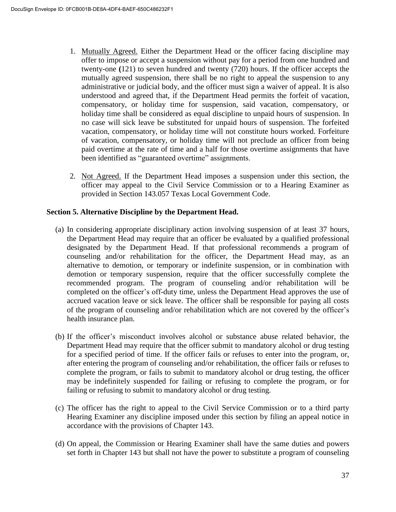- 1. Mutually Agreed. Either the Department Head or the officer facing discipline may offer to impose or accept a suspension without pay for a period from one hundred and twenty-one **(**121) to seven hundred and twenty (720) hours. If the officer accepts the mutually agreed suspension, there shall be no right to appeal the suspension to any administrative or judicial body, and the officer must sign a waiver of appeal. It is also understood and agreed that, if the Department Head permits the forfeit of vacation, compensatory, or holiday time for suspension, said vacation, compensatory, or holiday time shall be considered as equal discipline to unpaid hours of suspension. In no case will sick leave be substituted for unpaid hours of suspension. The forfeited vacation, compensatory, or holiday time will not constitute hours worked. Forfeiture of vacation, compensatory, or holiday time will not preclude an officer from being paid overtime at the rate of time and a half for those overtime assignments that have been identified as "guaranteed overtime" assignments.
- 2. Not Agreed. If the Department Head imposes a suspension under this section, the officer may appeal to the Civil Service Commission or to a Hearing Examiner as provided in Section 143.057 Texas Local Government Code.

## **Section 5. Alternative Discipline by the Department Head.**

- (a) In considering appropriate disciplinary action involving suspension of at least 37 hours, the Department Head may require that an officer be evaluated by a qualified professional designated by the Department Head. If that professional recommends a program of counseling and/or rehabilitation for the officer, the Department Head may, as an alternative to demotion, or temporary or indefinite suspension, or in combination with demotion or temporary suspension, require that the officer successfully complete the recommended program. The program of counseling and/or rehabilitation will be completed on the officer's off-duty time, unless the Department Head approves the use of accrued vacation leave or sick leave. The officer shall be responsible for paying all costs of the program of counseling and/or rehabilitation which are not covered by the officer's health insurance plan.
- (b) If the officer's misconduct involves alcohol or substance abuse related behavior, the Department Head may require that the officer submit to mandatory alcohol or drug testing for a specified period of time. If the officer fails or refuses to enter into the program, or, after entering the program of counseling and/or rehabilitation, the officer fails or refuses to complete the program, or fails to submit to mandatory alcohol or drug testing, the officer may be indefinitely suspended for failing or refusing to complete the program, or for failing or refusing to submit to mandatory alcohol or drug testing.
- (c) The officer has the right to appeal to the Civil Service Commission or to a third party Hearing Examiner any discipline imposed under this section by filing an appeal notice in accordance with the provisions of Chapter 143.
- (d) On appeal, the Commission or Hearing Examiner shall have the same duties and powers set forth in Chapter 143 but shall not have the power to substitute a program of counseling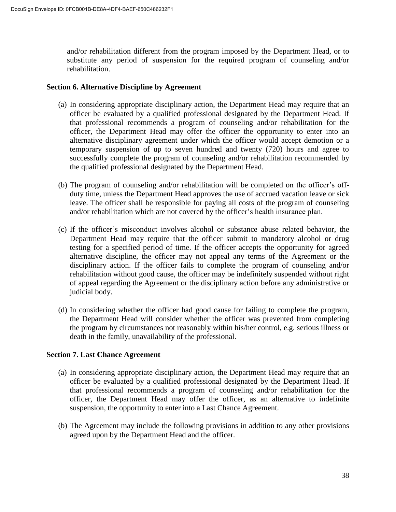and/or rehabilitation different from the program imposed by the Department Head, or to substitute any period of suspension for the required program of counseling and/or rehabilitation.

#### **Section 6. Alternative Discipline by Agreement**

- (a) In considering appropriate disciplinary action, the Department Head may require that an officer be evaluated by a qualified professional designated by the Department Head. If that professional recommends a program of counseling and/or rehabilitation for the officer, the Department Head may offer the officer the opportunity to enter into an alternative disciplinary agreement under which the officer would accept demotion or a temporary suspension of up to seven hundred and twenty (720) hours and agree to successfully complete the program of counseling and/or rehabilitation recommended by the qualified professional designated by the Department Head.
- (b) The program of counseling and/or rehabilitation will be completed on the officer's offduty time, unless the Department Head approves the use of accrued vacation leave or sick leave. The officer shall be responsible for paying all costs of the program of counseling and/or rehabilitation which are not covered by the officer's health insurance plan.
- (c) If the officer's misconduct involves alcohol or substance abuse related behavior, the Department Head may require that the officer submit to mandatory alcohol or drug testing for a specified period of time. If the officer accepts the opportunity for agreed alternative discipline, the officer may not appeal any terms of the Agreement or the disciplinary action. If the officer fails to complete the program of counseling and/or rehabilitation without good cause, the officer may be indefinitely suspended without right of appeal regarding the Agreement or the disciplinary action before any administrative or judicial body.
- (d) In considering whether the officer had good cause for failing to complete the program, the Department Head will consider whether the officer was prevented from completing the program by circumstances not reasonably within his/her control, e.g. serious illness or death in the family, unavailability of the professional.

#### **Section 7. Last Chance Agreement**

- (a) In considering appropriate disciplinary action, the Department Head may require that an officer be evaluated by a qualified professional designated by the Department Head. If that professional recommends a program of counseling and/or rehabilitation for the officer, the Department Head may offer the officer, as an alternative to indefinite suspension, the opportunity to enter into a Last Chance Agreement.
- (b) The Agreement may include the following provisions in addition to any other provisions agreed upon by the Department Head and the officer.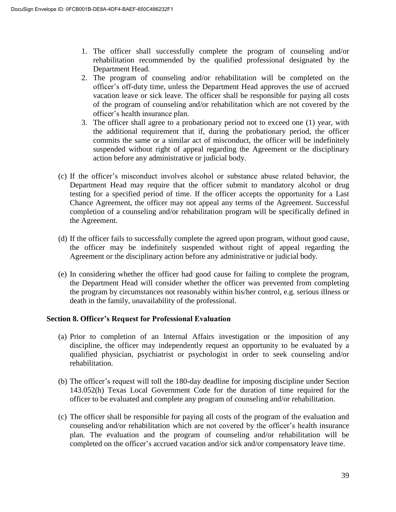- 1. The officer shall successfully complete the program of counseling and/or rehabilitation recommended by the qualified professional designated by the Department Head.
- 2. The program of counseling and/or rehabilitation will be completed on the officer's off-duty time, unless the Department Head approves the use of accrued vacation leave or sick leave. The officer shall be responsible for paying all costs of the program of counseling and/or rehabilitation which are not covered by the officer's health insurance plan.
- 3. The officer shall agree to a probationary period not to exceed one (1) year, with the additional requirement that if, during the probationary period, the officer commits the same or a similar act of misconduct, the officer will be indefinitely suspended without right of appeal regarding the Agreement or the disciplinary action before any administrative or judicial body.
- (c) If the officer's misconduct involves alcohol or substance abuse related behavior, the Department Head may require that the officer submit to mandatory alcohol or drug testing for a specified period of time. If the officer accepts the opportunity for a Last Chance Agreement, the officer may not appeal any terms of the Agreement. Successful completion of a counseling and/or rehabilitation program will be specifically defined in the Agreement.
- (d) If the officer fails to successfully complete the agreed upon program, without good cause, the officer may be indefinitely suspended without right of appeal regarding the Agreement or the disciplinary action before any administrative or judicial body.
- (e) In considering whether the officer had good cause for failing to complete the program, the Department Head will consider whether the officer was prevented from completing the program by circumstances not reasonably within his/her control, e.g. serious illness or death in the family, unavailability of the professional.

# **Section 8. Officer's Request for Professional Evaluation**

- (a) Prior to completion of an Internal Affairs investigation or the imposition of any discipline, the officer may independently request an opportunity to be evaluated by a qualified physician, psychiatrist or psychologist in order to seek counseling and/or rehabilitation.
- (b) The officer's request will toll the 180-day deadline for imposing discipline under Section 143.052(h) Texas Local Government Code for the duration of time required for the officer to be evaluated and complete any program of counseling and/or rehabilitation.
- (c) The officer shall be responsible for paying all costs of the program of the evaluation and counseling and/or rehabilitation which are not covered by the officer's health insurance plan. The evaluation and the program of counseling and/or rehabilitation will be completed on the officer's accrued vacation and/or sick and/or compensatory leave time.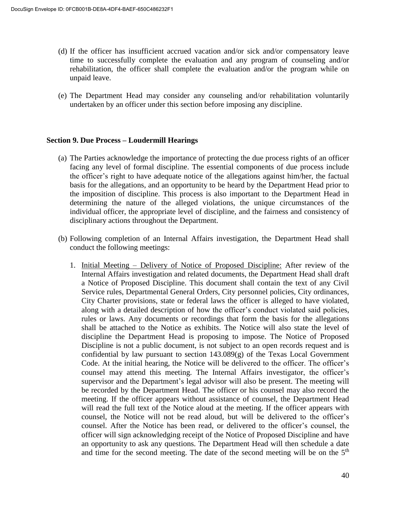- (d) If the officer has insufficient accrued vacation and/or sick and/or compensatory leave time to successfully complete the evaluation and any program of counseling and/or rehabilitation, the officer shall complete the evaluation and/or the program while on unpaid leave.
- (e) The Department Head may consider any counseling and/or rehabilitation voluntarily undertaken by an officer under this section before imposing any discipline.

#### **Section 9. Due Process – Loudermill Hearings**

- (a) The Parties acknowledge the importance of protecting the due process rights of an officer facing any level of formal discipline. The essential components of due process include the officer's right to have adequate notice of the allegations against him/her, the factual basis for the allegations, and an opportunity to be heard by the Department Head prior to the imposition of discipline. This process is also important to the Department Head in determining the nature of the alleged violations, the unique circumstances of the individual officer, the appropriate level of discipline, and the fairness and consistency of disciplinary actions throughout the Department.
- (b) Following completion of an Internal Affairs investigation, the Department Head shall conduct the following meetings:
	- 1. Initial Meeting Delivery of Notice of Proposed Discipline: After review of the Internal Affairs investigation and related documents, the Department Head shall draft a Notice of Proposed Discipline. This document shall contain the text of any Civil Service rules, Departmental General Orders, City personnel policies, City ordinances, City Charter provisions, state or federal laws the officer is alleged to have violated, along with a detailed description of how the officer's conduct violated said policies, rules or laws. Any documents or recordings that form the basis for the allegations shall be attached to the Notice as exhibits. The Notice will also state the level of discipline the Department Head is proposing to impose. The Notice of Proposed Discipline is not a public document, is not subject to an open records request and is confidential by law pursuant to section  $143.089(g)$  of the Texas Local Government Code. At the initial hearing, the Notice will be delivered to the officer. The officer's counsel may attend this meeting. The Internal Affairs investigator, the officer's supervisor and the Department's legal advisor will also be present. The meeting will be recorded by the Department Head. The officer or his counsel may also record the meeting. If the officer appears without assistance of counsel, the Department Head will read the full text of the Notice aloud at the meeting. If the officer appears with counsel, the Notice will not be read aloud, but will be delivered to the officer's counsel. After the Notice has been read, or delivered to the officer's counsel, the officer will sign acknowledging receipt of the Notice of Proposed Discipline and have an opportunity to ask any questions. The Department Head will then schedule a date and time for the second meeting. The date of the second meeting will be on the  $5<sup>th</sup>$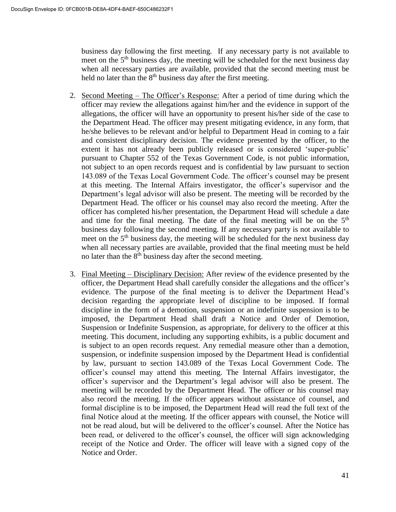business day following the first meeting. If any necessary party is not available to meet on the 5<sup>th</sup> business day, the meeting will be scheduled for the next business day when all necessary parties are available, provided that the second meeting must be held no later than the  $8<sup>th</sup>$  business day after the first meeting.

- 2. Second Meeting The Officer's Response: After a period of time during which the officer may review the allegations against him/her and the evidence in support of the allegations, the officer will have an opportunity to present his/her side of the case to the Department Head. The officer may present mitigating evidence, in any form, that he/she believes to be relevant and/or helpful to Department Head in coming to a fair and consistent disciplinary decision. The evidence presented by the officer, to the extent it has not already been publicly released or is considered 'super-public' pursuant to Chapter 552 of the Texas Government Code, is not public information, not subject to an open records request and is confidential by law pursuant to section 143.089 of the Texas Local Government Code. The officer's counsel may be present at this meeting. The Internal Affairs investigator, the officer's supervisor and the Department's legal advisor will also be present. The meeting will be recorded by the Department Head. The officer or his counsel may also record the meeting. After the officer has completed his/her presentation, the Department Head will schedule a date and time for the final meeting. The date of the final meeting will be on the  $5<sup>th</sup>$ business day following the second meeting. If any necessary party is not available to meet on the  $5<sup>th</sup>$  business day, the meeting will be scheduled for the next business day when all necessary parties are available, provided that the final meeting must be held no later than the  $8<sup>th</sup>$  business day after the second meeting.
- 3. Final Meeting Disciplinary Decision: After review of the evidence presented by the officer, the Department Head shall carefully consider the allegations and the officer's evidence. The purpose of the final meeting is to deliver the Department Head's decision regarding the appropriate level of discipline to be imposed. If formal discipline in the form of a demotion, suspension or an indefinite suspension is to be imposed, the Department Head shall draft a Notice and Order of Demotion, Suspension or Indefinite Suspension, as appropriate, for delivery to the officer at this meeting. This document, including any supporting exhibits, is a public document and is subject to an open records request. Any remedial measure other than a demotion, suspension, or indefinite suspension imposed by the Department Head is confidential by law, pursuant to section 143.089 of the Texas Local Government Code. The officer's counsel may attend this meeting. The Internal Affairs investigator, the officer's supervisor and the Department's legal advisor will also be present. The meeting will be recorded by the Department Head. The officer or his counsel may also record the meeting. If the officer appears without assistance of counsel, and formal discipline is to be imposed, the Department Head will read the full text of the final Notice aloud at the meeting. If the officer appears with counsel, the Notice will not be read aloud, but will be delivered to the officer's counsel. After the Notice has been read, or delivered to the officer's counsel, the officer will sign acknowledging receipt of the Notice and Order. The officer will leave with a signed copy of the Notice and Order.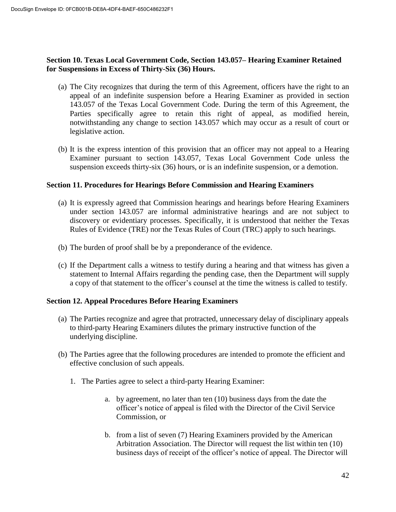# **Section 10. Texas Local Government Code, Section 143.057– Hearing Examiner Retained for Suspensions in Excess of Thirty-Six (36) Hours.**

- (a) The City recognizes that during the term of this Agreement, officers have the right to an appeal of an indefinite suspension before a Hearing Examiner as provided in section 143.057 of the Texas Local Government Code. During the term of this Agreement, the Parties specifically agree to retain this right of appeal, as modified herein, notwithstanding any change to section 143.057 which may occur as a result of court or legislative action.
- (b) It is the express intention of this provision that an officer may not appeal to a Hearing Examiner pursuant to section 143.057, Texas Local Government Code unless the suspension exceeds thirty-six (36) hours, or is an indefinite suspension, or a demotion.

## **Section 11. Procedures for Hearings Before Commission and Hearing Examiners**

- (a) It is expressly agreed that Commission hearings and hearings before Hearing Examiners under section 143.057 are informal administrative hearings and are not subject to discovery or evidentiary processes. Specifically, it is understood that neither the Texas Rules of Evidence (TRE) nor the Texas Rules of Court (TRC) apply to such hearings.
- (b) The burden of proof shall be by a preponderance of the evidence.
- (c) If the Department calls a witness to testify during a hearing and that witness has given a statement to Internal Affairs regarding the pending case, then the Department will supply a copy of that statement to the officer's counsel at the time the witness is called to testify.

# **Section 12. Appeal Procedures Before Hearing Examiners**

- (a) The Parties recognize and agree that protracted, unnecessary delay of disciplinary appeals to third-party Hearing Examiners dilutes the primary instructive function of the underlying discipline.
- (b) The Parties agree that the following procedures are intended to promote the efficient and effective conclusion of such appeals.
	- 1. The Parties agree to select a third-party Hearing Examiner:
		- a. by agreement, no later than ten (10) business days from the date the officer's notice of appeal is filed with the Director of the Civil Service Commission, or
		- b. from a list of seven (7) Hearing Examiners provided by the American Arbitration Association. The Director will request the list within ten (10) business days of receipt of the officer's notice of appeal. The Director will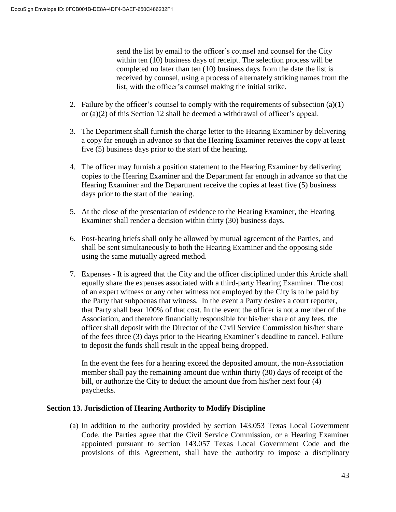send the list by email to the officer's counsel and counsel for the City within ten (10) business days of receipt. The selection process will be completed no later than ten (10) business days from the date the list is received by counsel, using a process of alternately striking names from the list, with the officer's counsel making the initial strike.

- 2. Failure by the officer's counsel to comply with the requirements of subsection  $(a)(1)$ or (a)(2) of this Section 12 shall be deemed a withdrawal of officer's appeal.
- 3. The Department shall furnish the charge letter to the Hearing Examiner by delivering a copy far enough in advance so that the Hearing Examiner receives the copy at least five (5) business days prior to the start of the hearing.
- 4. The officer may furnish a position statement to the Hearing Examiner by delivering copies to the Hearing Examiner and the Department far enough in advance so that the Hearing Examiner and the Department receive the copies at least five (5) business days prior to the start of the hearing.
- 5. At the close of the presentation of evidence to the Hearing Examiner, the Hearing Examiner shall render a decision within thirty (30) business days.
- 6. Post-hearing briefs shall only be allowed by mutual agreement of the Parties, and shall be sent simultaneously to both the Hearing Examiner and the opposing side using the same mutually agreed method.
- 7. Expenses It is agreed that the City and the officer disciplined under this Article shall equally share the expenses associated with a third-party Hearing Examiner. The cost of an expert witness or any other witness not employed by the City is to be paid by the Party that subpoenas that witness. In the event a Party desires a court reporter, that Party shall bear 100% of that cost. In the event the officer is not a member of the Association, and therefore financially responsible for his/her share of any fees, the officer shall deposit with the Director of the Civil Service Commission his/her share of the fees three (3) days prior to the Hearing Examiner's deadline to cancel. Failure to deposit the funds shall result in the appeal being dropped.

In the event the fees for a hearing exceed the deposited amount, the non-Association member shall pay the remaining amount due within thirty (30) days of receipt of the bill, or authorize the City to deduct the amount due from his/her next four (4) paychecks.

#### **Section 13. Jurisdiction of Hearing Authority to Modify Discipline**

(a) In addition to the authority provided by section 143.053 Texas Local Government Code, the Parties agree that the Civil Service Commission, or a Hearing Examiner appointed pursuant to section 143.057 Texas Local Government Code and the provisions of this Agreement, shall have the authority to impose a disciplinary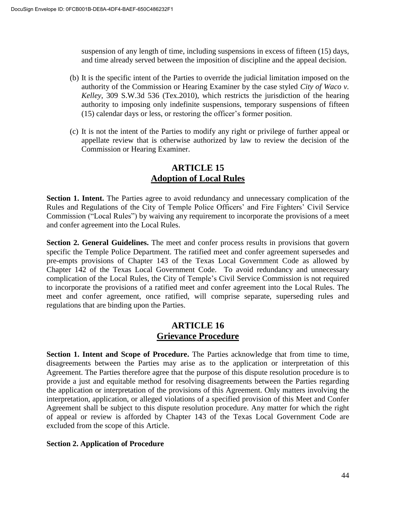suspension of any length of time, including suspensions in excess of fifteen (15) days, and time already served between the imposition of discipline and the appeal decision.

- (b) It is the specific intent of the Parties to override the judicial limitation imposed on the authority of the Commission or Hearing Examiner by the case styled *City of Waco v. Kelley*, 309 S.W.3d 536 (Tex.2010), which restricts the jurisdiction of the hearing authority to imposing only indefinite suspensions, temporary suspensions of fifteen (15) calendar days or less, or restoring the officer's former position.
- (c) It is not the intent of the Parties to modify any right or privilege of further appeal or appellate review that is otherwise authorized by law to review the decision of the Commission or Hearing Examiner.

# **ARTICLE 15 Adoption of Local Rules**

**Section 1. Intent.** The Parties agree to avoid redundancy and unnecessary complication of the Rules and Regulations of the City of Temple Police Officers' and Fire Fighters' Civil Service Commission ("Local Rules") by waiving any requirement to incorporate the provisions of a meet and confer agreement into the Local Rules.

**Section 2. General Guidelines.** The meet and confer process results in provisions that govern specific the Temple Police Department. The ratified meet and confer agreement supersedes and pre-empts provisions of Chapter 143 of the Texas Local Government Code as allowed by Chapter 142 of the Texas Local Government Code. To avoid redundancy and unnecessary complication of the Local Rules, the City of Temple's Civil Service Commission is not required to incorporate the provisions of a ratified meet and confer agreement into the Local Rules. The meet and confer agreement, once ratified, will comprise separate, superseding rules and regulations that are binding upon the Parties.

# **ARTICLE 16 Grievance Procedure**

**Section 1. Intent and Scope of Procedure.** The Parties acknowledge that from time to time, disagreements between the Parties may arise as to the application or interpretation of this Agreement. The Parties therefore agree that the purpose of this dispute resolution procedure is to provide a just and equitable method for resolving disagreements between the Parties regarding the application or interpretation of the provisions of this Agreement. Only matters involving the interpretation, application, or alleged violations of a specified provision of this Meet and Confer Agreement shall be subject to this dispute resolution procedure. Any matter for which the right of appeal or review is afforded by Chapter 143 of the Texas Local Government Code are excluded from the scope of this Article.

# **Section 2. Application of Procedure**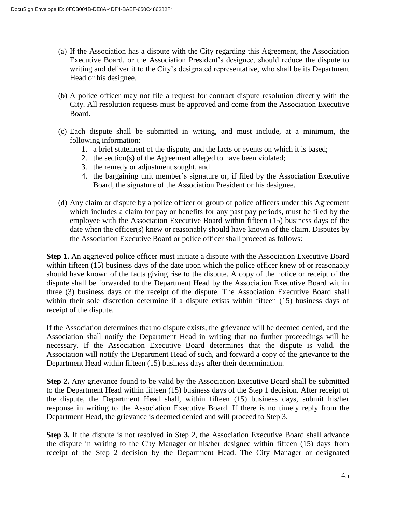- (a) If the Association has a dispute with the City regarding this Agreement, the Association Executive Board, or the Association President's designee, should reduce the dispute to writing and deliver it to the City's designated representative, who shall be its Department Head or his designee.
- (b) A police officer may not file a request for contract dispute resolution directly with the City. All resolution requests must be approved and come from the Association Executive Board.
- (c) Each dispute shall be submitted in writing, and must include, at a minimum, the following information:
	- 1. a brief statement of the dispute, and the facts or events on which it is based;
	- 2. the section(s) of the Agreement alleged to have been violated;
	- 3. the remedy or adjustment sought, and
	- 4. the bargaining unit member's signature or, if filed by the Association Executive Board, the signature of the Association President or his designee.
- (d) Any claim or dispute by a police officer or group of police officers under this Agreement which includes a claim for pay or benefits for any past pay periods, must be filed by the employee with the Association Executive Board within fifteen (15) business days of the date when the officer(s) knew or reasonably should have known of the claim. Disputes by the Association Executive Board or police officer shall proceed as follows:

**Step 1.** An aggrieved police officer must initiate a dispute with the Association Executive Board within fifteen (15) business days of the date upon which the police officer knew of or reasonably should have known of the facts giving rise to the dispute. A copy of the notice or receipt of the dispute shall be forwarded to the Department Head by the Association Executive Board within three (3) business days of the receipt of the dispute. The Association Executive Board shall within their sole discretion determine if a dispute exists within fifteen (15) business days of receipt of the dispute.

If the Association determines that no dispute exists, the grievance will be deemed denied, and the Association shall notify the Department Head in writing that no further proceedings will be necessary. If the Association Executive Board determines that the dispute is valid, the Association will notify the Department Head of such, and forward a copy of the grievance to the Department Head within fifteen (15) business days after their determination.

**Step 2.** Any grievance found to be valid by the Association Executive Board shall be submitted to the Department Head within fifteen (15) business days of the Step 1 decision. After receipt of the dispute, the Department Head shall, within fifteen (15) business days, submit his/her response in writing to the Association Executive Board. If there is no timely reply from the Department Head, the grievance is deemed denied and will proceed to Step 3.

**Step 3.** If the dispute is not resolved in Step 2, the Association Executive Board shall advance the dispute in writing to the City Manager or his/her designee within fifteen (15) days from receipt of the Step 2 decision by the Department Head. The City Manager or designated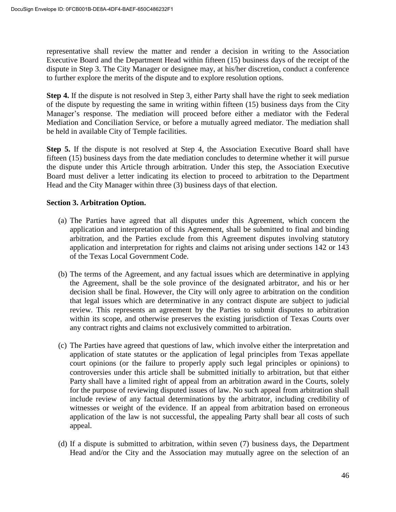representative shall review the matter and render a decision in writing to the Association Executive Board and the Department Head within fifteen (15) business days of the receipt of the dispute in Step 3. The City Manager or designee may, at his/her discretion, conduct a conference to further explore the merits of the dispute and to explore resolution options.

**Step 4.** If the dispute is not resolved in Step 3, either Party shall have the right to seek mediation of the dispute by requesting the same in writing within fifteen (15) business days from the City Manager's response. The mediation will proceed before either a mediator with the Federal Mediation and Conciliation Service, or before a mutually agreed mediator. The mediation shall be held in available City of Temple facilities.

**Step 5.** If the dispute is not resolved at Step 4, the Association Executive Board shall have fifteen (15) business days from the date mediation concludes to determine whether it will pursue the dispute under this Article through arbitration. Under this step, the Association Executive Board must deliver a letter indicating its election to proceed to arbitration to the Department Head and the City Manager within three (3) business days of that election.

## **Section 3. Arbitration Option.**

- (a) The Parties have agreed that all disputes under this Agreement, which concern the application and interpretation of this Agreement, shall be submitted to final and binding arbitration, and the Parties exclude from this Agreement disputes involving statutory application and interpretation for rights and claims not arising under sections 142 or 143 of the Texas Local Government Code.
- (b) The terms of the Agreement, and any factual issues which are determinative in applying the Agreement, shall be the sole province of the designated arbitrator, and his or her decision shall be final. However, the City will only agree to arbitration on the condition that legal issues which are determinative in any contract dispute are subject to judicial review. This represents an agreement by the Parties to submit disputes to arbitration within its scope, and otherwise preserves the existing jurisdiction of Texas Courts over any contract rights and claims not exclusively committed to arbitration.
- (c) The Parties have agreed that questions of law, which involve either the interpretation and application of state statutes or the application of legal principles from Texas appellate court opinions (or the failure to properly apply such legal principles or opinions) to controversies under this article shall be submitted initially to arbitration, but that either Party shall have a limited right of appeal from an arbitration award in the Courts, solely for the purpose of reviewing disputed issues of law. No such appeal from arbitration shall include review of any factual determinations by the arbitrator, including credibility of witnesses or weight of the evidence. If an appeal from arbitration based on erroneous application of the law is not successful, the appealing Party shall bear all costs of such appeal.
- (d) If a dispute is submitted to arbitration, within seven (7) business days, the Department Head and/or the City and the Association may mutually agree on the selection of an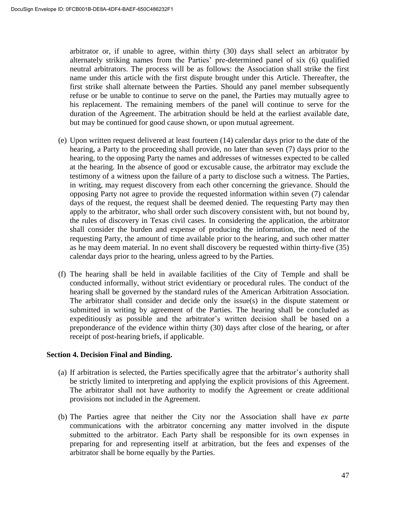arbitrator or, if unable to agree, within thirty (30) days shall select an arbitrator by alternately striking names from the Parties' pre-determined panel of six (6) qualified neutral arbitrators. The process will be as follows: the Association shall strike the first name under this article with the first dispute brought under this Article. Thereafter, the first strike shall alternate between the Parties. Should any panel member subsequently refuse or be unable to continue to serve on the panel, the Parties may mutually agree to his replacement. The remaining members of the panel will continue to serve for the duration of the Agreement. The arbitration should be held at the earliest available date, but may be continued for good cause shown, or upon mutual agreement.

- (e) Upon written request delivered at least fourteen (14) calendar days prior to the date of the hearing, a Party to the proceeding shall provide, no later than seven (7) days prior to the hearing, to the opposing Party the names and addresses of witnesses expected to be called at the hearing. In the absence of good or excusable cause, the arbitrator may exclude the testimony of a witness upon the failure of a party to disclose such a witness. The Parties, in writing, may request discovery from each other concerning the grievance. Should the opposing Party not agree to provide the requested information within seven (7) calendar days of the request, the request shall be deemed denied. The requesting Party may then apply to the arbitrator, who shall order such discovery consistent with, but not bound by, the rules of discovery in Texas civil cases. In considering the application, the arbitrator shall consider the burden and expense of producing the information, the need of the requesting Party, the amount of time available prior to the hearing, and such other matter as he may deem material. In no event shall discovery be requested within thirty-five (35) calendar days prior to the hearing, unless agreed to by the Parties.
- (f) The hearing shall be held in available facilities of the City of Temple and shall be conducted informally, without strict evidentiary or procedural rules. The conduct of the hearing shall be governed by the standard rules of the American Arbitration Association. The arbitrator shall consider and decide only the issue(s) in the dispute statement or submitted in writing by agreement of the Parties. The hearing shall be concluded as expeditiously as possible and the arbitrator's written decision shall be based on a preponderance of the evidence within thirty (30) days after close of the hearing, or after receipt of post-hearing briefs, if applicable.

#### **Section 4. Decision Final and Binding.**

- (a) If arbitration is selected, the Parties specifically agree that the arbitrator's authority shall be strictly limited to interpreting and applying the explicit provisions of this Agreement. The arbitrator shall not have authority to modify the Agreement or create additional provisions not included in the Agreement.
- (b) The Parties agree that neither the City nor the Association shall have *ex parte*  communications with the arbitrator concerning any matter involved in the dispute submitted to the arbitrator. Each Party shall be responsible for its own expenses in preparing for and representing itself at arbitration, but the fees and expenses of the arbitrator shall be borne equally by the Parties.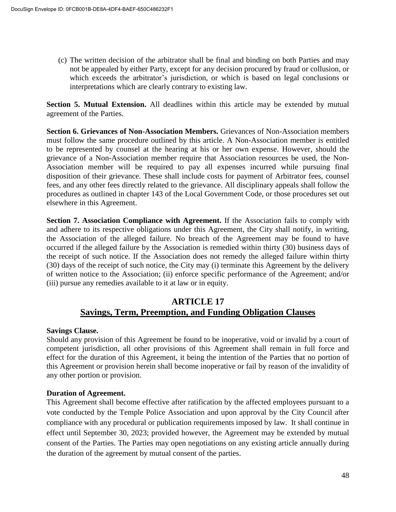(c) The written decision of the arbitrator shall be final and binding on both Parties and may not be appealed by either Party, except for any decision procured by fraud or collusion, or which exceeds the arbitrator's jurisdiction, or which is based on legal conclusions or interpretations which are clearly contrary to existing law.

**Section 5. Mutual Extension.** All deadlines within this article may be extended by mutual agreement of the Parties.

**Section 6. Grievances of Non-Association Members.** Grievances of Non-Association members must follow the same procedure outlined by this article. A Non-Association member is entitled to be represented by counsel at the hearing at his or her own expense. However, should the grievance of a Non-Association member require that Association resources be used, the Non-Association member will be required to pay all expenses incurred while pursuing final disposition of their grievance. These shall include costs for payment of Arbitrator fees, counsel fees, and any other fees directly related to the grievance. All disciplinary appeals shall follow the procedures as outlined in chapter 143 of the Local Government Code, or those procedures set out elsewhere in this Agreement.

**Section 7. Association Compliance with Agreement.** If the Association fails to comply with and adhere to its respective obligations under this Agreement, the City shall notify, in writing, the Association of the alleged failure. No breach of the Agreement may be found to have occurred if the alleged failure by the Association is remedied within thirty (30) business days of the receipt of such notice. If the Association does not remedy the alleged failure within thirty (30) days of the receipt of such notice, the City may (i) terminate this Agreement by the delivery of written notice to the Association; (ii) enforce specific performance of the Agreement; and/or (iii) pursue any remedies available to it at law or in equity.

# **ARTICLE 17 Savings, Term, Preemption, and Funding Obligation Clauses**

# **Savings Clause.**

Should any provision of this Agreement be found to be inoperative, void or invalid by a court of competent jurisdiction, all other provisions of this Agreement shall remain in full force and effect for the duration of this Agreement, it being the intention of the Parties that no portion of this Agreement or provision herein shall become inoperative or fail by reason of the invalidity of any other portion or provision.

# **Duration of Agreement.**

This Agreement shall become effective after ratification by the affected employees pursuant to a vote conducted by the Temple Police Association and upon approval by the City Council after compliance with any procedural or publication requirements imposed by law. It shall continue in effect until September 30, 2023; provided however, the Agreement may be extended by mutual consent of the Parties. The Parties may open negotiations on any existing article annually during the duration of the agreement by mutual consent of the parties.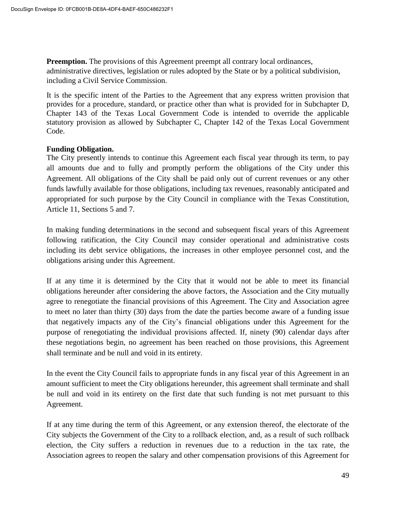**Preemption.** The provisions of this Agreement preempt all contrary local ordinances, administrative directives, legislation or rules adopted by the State or by a political subdivision, including a Civil Service Commission.

It is the specific intent of the Parties to the Agreement that any express written provision that provides for a procedure, standard, or practice other than what is provided for in Subchapter D, Chapter 143 of the Texas Local Government Code is intended to override the applicable statutory provision as allowed by Subchapter C, Chapter 142 of the Texas Local Government Code.

#### **Funding Obligation.**

The City presently intends to continue this Agreement each fiscal year through its term, to pay all amounts due and to fully and promptly perform the obligations of the City under this Agreement. All obligations of the City shall be paid only out of current revenues or any other funds lawfully available for those obligations, including tax revenues, reasonably anticipated and appropriated for such purpose by the City Council in compliance with the Texas Constitution, Article 11, Sections 5 and 7.

In making funding determinations in the second and subsequent fiscal years of this Agreement following ratification, the City Council may consider operational and administrative costs including its debt service obligations, the increases in other employee personnel cost, and the obligations arising under this Agreement.

If at any time it is determined by the City that it would not be able to meet its financial obligations hereunder after considering the above factors, the Association and the City mutually agree to renegotiate the financial provisions of this Agreement. The City and Association agree to meet no later than thirty (30) days from the date the parties become aware of a funding issue that negatively impacts any of the City's financial obligations under this Agreement for the purpose of renegotiating the individual provisions affected. If, ninety (90) calendar days after these negotiations begin, no agreement has been reached on those provisions, this Agreement shall terminate and be null and void in its entirety.

In the event the City Council fails to appropriate funds in any fiscal year of this Agreement in an amount sufficient to meet the City obligations hereunder, this agreement shall terminate and shall be null and void in its entirety on the first date that such funding is not met pursuant to this Agreement.

If at any time during the term of this Agreement, or any extension thereof, the electorate of the City subjects the Government of the City to a rollback election, and, as a result of such rollback election, the City suffers a reduction in revenues due to a reduction in the tax rate, the Association agrees to reopen the salary and other compensation provisions of this Agreement for